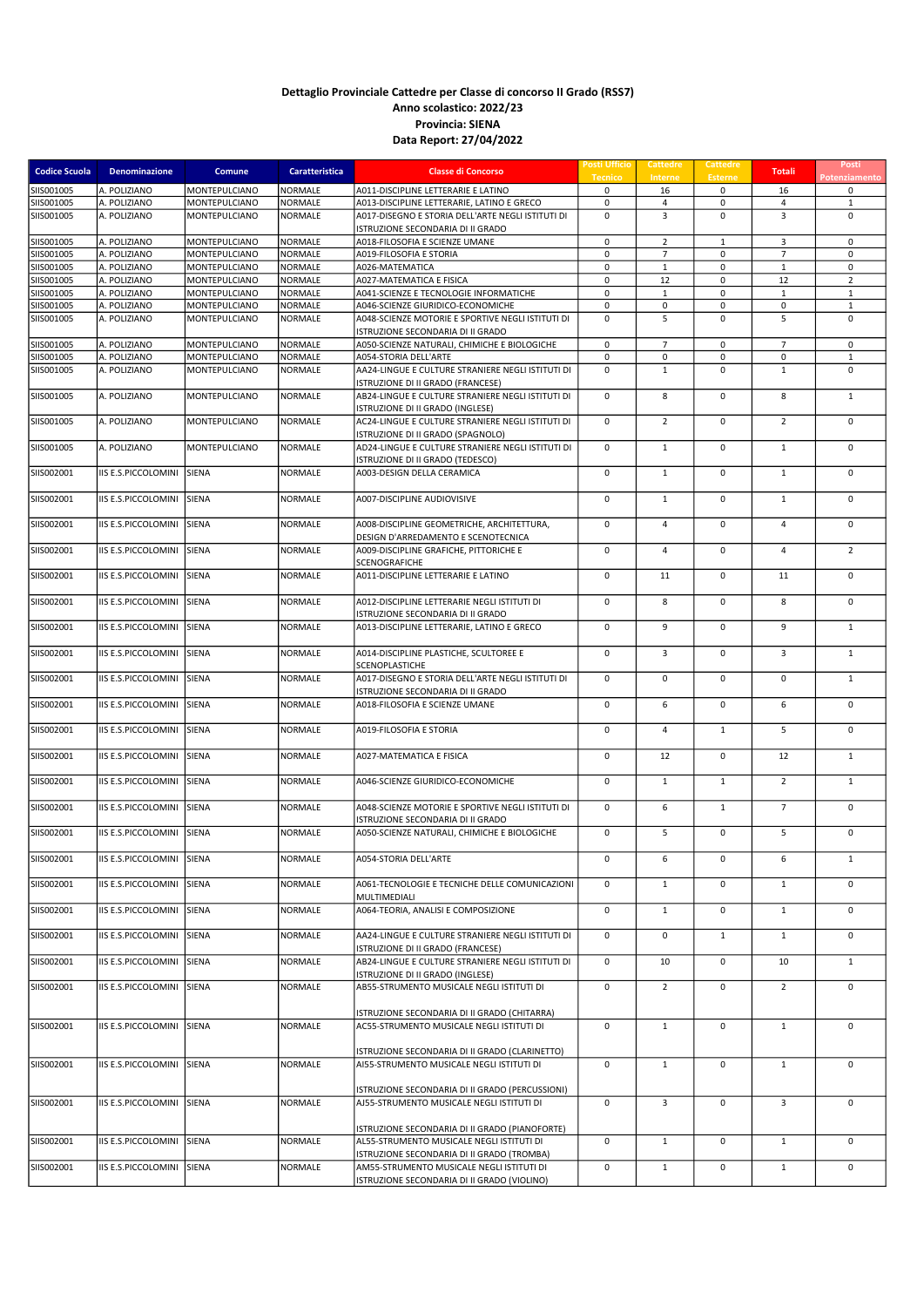| <b>Codice Scuola</b>     | <b>Denominazione</b>         | Comune                         | Caratteristica            | <b>Classe di Concorso</b>                                                                   | <b>Posti Ufficio</b><br><b>Tecnico</b> | <b>Cattedre</b><br>Interne  | Cattedre<br><b>Esterne</b> | <b>Totali</b>               | Posti<br>Potenziamento      |
|--------------------------|------------------------------|--------------------------------|---------------------------|---------------------------------------------------------------------------------------------|----------------------------------------|-----------------------------|----------------------------|-----------------------------|-----------------------------|
| SIIS001005               | A. POLIZIANO                 | MONTEPULCIANO                  | NORMALE                   | A011-DISCIPLINE LETTERARIE E LATINO                                                         | 0                                      | 16                          | 0                          | 16                          | 0                           |
| SIIS001005               | A. POLIZIANO                 | MONTEPULCIANO                  | <b>NORMALE</b>            | A013-DISCIPLINE LETTERARIE, LATINO E GRECO                                                  | $\mathbf 0$                            | 4                           | 0                          | 4                           | $\mathbf{1}$                |
| SIIS001005               | A. POLIZIANO                 | MONTEPULCIANO                  | <b>NORMALE</b>            | A017-DISEGNO E STORIA DELL'ARTE NEGLI ISTITUTI DI<br>ISTRUZIONE SECONDARIA DI II GRADO      | $\mathbf 0$                            | $\overline{3}$              | $\mathbf 0$                | $\overline{3}$              | $\mathbf 0$                 |
| SIIS001005               | A. POLIZIANO                 | MONTEPULCIANO                  | <b>NORMALE</b>            | A018-FILOSOFIA E SCIENZE UMANE                                                              | 0                                      | $\overline{2}$              | $\mathbf{1}$               | 3                           | $\mathsf 0$                 |
| SIIS001005               | A. POLIZIANO                 | MONTEPULCIANO                  | <b>NORMALE</b>            | A019-FILOSOFIA E STORIA                                                                     | $\mathbf 0$                            | $\overline{7}$              | 0                          | $\overline{7}$              | $\mathbf 0$                 |
| SIIS001005               | A. POLIZIANO                 | MONTEPULCIANO                  | NORMALE                   | A026-MATEMATICA                                                                             | 0                                      | $\mathbf{1}$                | 0                          | $\mathbf{1}$                | 0                           |
| SIIS001005               | A. POLIZIANO                 | MONTEPULCIANO                  | <b>NORMALE</b>            | A027-MATEMATICA E FISICA                                                                    | $\mathbf 0$                            | 12                          | $\mathbf 0$                | 12                          | $\overline{2}$              |
| SIIS001005               | A. POLIZIANO                 | MONTEPULCIANO                  | NORMALE                   | A041-SCIENZE E TECNOLOGIE INFORMATICHE                                                      | 0                                      | $\mathbf{1}$                | 0                          | $\mathbf{1}$                | $\mathbf{1}$                |
| SIIS001005<br>SIIS001005 | A. POLIZIANO<br>A. POLIZIANO | MONTEPULCIANO<br>MONTEPULCIANO | NORMALE<br><b>NORMALE</b> | A046-SCIENZE GIURIDICO-ECONOMICHE<br>A048-SCIENZE MOTORIE E SPORTIVE NEGLI ISTITUTI DI      | 0<br>$\mathbf 0$                       | 0<br>5                      | 0<br>$\mathbf 0$           | 0<br>5                      | $\mathbf{1}$<br>$\mathbf 0$ |
|                          |                              |                                |                           | ISTRUZIONE SECONDARIA DI II GRADO                                                           |                                        |                             |                            |                             |                             |
| SIIS001005               | A. POLIZIANO                 | MONTEPULCIANO                  | NORMALE                   | A050-SCIENZE NATURALI, CHIMICHE E BIOLOGICHE                                                | 0                                      | $\overline{7}$              | $\mathbf 0$                | $\overline{7}$              | 0                           |
| SIIS001005<br>SIIS001005 | A. POLIZIANO<br>A. POLIZIANO | MONTEPULCIANO<br>MONTEPULCIANO | NORMALE<br><b>NORMALE</b> | A054-STORIA DELL'ARTE<br>AA24-LINGUE E CULTURE STRANIERE NEGLI ISTITUTI DI                  | $\mathbf 0$<br>$\mathbf 0$             | $\mathbf 0$<br>$\mathbf{1}$ | $\mathbf 0$<br>0           | $\mathbf 0$<br>$\mathbf{1}$ | $\mathbf 1$<br>$\mathbf 0$  |
|                          |                              |                                |                           | ISTRUZIONE DI II GRADO (FRANCESE)                                                           |                                        |                             |                            |                             |                             |
| SIIS001005               | A. POLIZIANO                 | MONTEPULCIANO                  | NORMALE                   | AB24-LINGUE E CULTURE STRANIERE NEGLI ISTITUTI DI<br>ISTRUZIONE DI II GRADO (INGLESE)       | $\mathbf 0$                            | 8                           | $\mathbf 0$                | 8                           | $\mathbf{1}$                |
| SIIS001005               | A. POLIZIANO                 | MONTEPULCIANO                  | <b>NORMALE</b>            | AC24-LINGUE E CULTURE STRANIERE NEGLI ISTITUTI DI<br>ISTRUZIONE DI II GRADO (SPAGNOLO)      | $\mathbf 0$                            | $\overline{2}$              | $\mathbf 0$                | $\overline{2}$              | $\mathbf 0$                 |
| SIIS001005               | A. POLIZIANO                 | MONTEPULCIANO                  | <b>NORMALE</b>            | AD24-LINGUE E CULTURE STRANIERE NEGLI ISTITUTI DI                                           | $\mathbf 0$                            | $\mathbf{1}$                | $\mathbf 0$                | $\mathbf{1}$                | $\mathbf 0$                 |
| SIIS002001               | IIS E.S.PICCOLOMINI          | SIENA                          | NORMALE                   | ISTRUZIONE DI II GRADO (TEDESCO)<br>A003-DESIGN DELLA CERAMICA                              | $\mathbf 0$                            | $\mathbf{1}$                | $\mathbf 0$                | $\mathbf{1}$                | $\mathbf 0$                 |
| SIIS002001               | IIS E.S.PICCOLOMINI          | SIENA                          | NORMALE                   | A007-DISCIPLINE AUDIOVISIVE                                                                 | $\mathbf 0$                            | $\mathbf{1}$                | $\mathbf 0$                | $\mathbf{1}$                | $\mathbf 0$                 |
|                          |                              |                                |                           |                                                                                             |                                        |                             |                            |                             |                             |
| SIIS002001               | IIS E.S.PICCOLOMINI          | SIENA                          | NORMALE                   | A008-DISCIPLINE GEOMETRICHE, ARCHITETTURA,<br>DESIGN D'ARREDAMENTO E SCENOTECNICA           | $\mathbf 0$                            | $\overline{4}$              | $\mathbf 0$                | $\overline{4}$              | $\mathbf 0$                 |
| SIIS002001               | IIS E.S.PICCOLOMINI          | SIENA                          | NORMALE                   | A009-DISCIPLINE GRAFICHE, PITTORICHE E<br>SCENOGRAFICHE                                     | $\mathbf 0$                            | $\overline{4}$              | $\mathbf 0$                | 4                           | $\overline{2}$              |
| SIIS002001               | IIS E.S.PICCOLOMINI          | SIENA                          | NORMALE                   | A011-DISCIPLINE LETTERARIE E LATINO                                                         | $\mathbf 0$                            | 11                          | $\mathbf 0$                | 11                          | $\mathbf 0$                 |
| SIIS002001               | IIS E.S.PICCOLOMINI          | SIENA                          | <b>NORMALE</b>            | A012-DISCIPLINE LETTERARIE NEGLI ISTITUTI DI                                                | 0                                      | 8                           | $\mathbf 0$                | 8                           | $\mathsf 0$                 |
| SIIS002001               | IIS E.S.PICCOLOMINI          | SIENA                          | NORMALE                   | ISTRUZIONE SECONDARIA DI II GRADO<br>A013-DISCIPLINE LETTERARIE, LATINO E GRECO             | $\mathsf 0$                            | 9                           | $\mathbf 0$                | 9                           | $\mathbf{1}$                |
| SIIS002001               | IIS E.S.PICCOLOMINI          | SIENA                          | NORMALE                   | A014-DISCIPLINE PLASTICHE, SCULTOREE E                                                      | $\mathbf 0$                            | $\overline{3}$              | $\mathbf 0$                | 3                           | $\mathbf{1}$                |
| SIIS002001               | IIS E.S.PICCOLOMINI          | SIENA                          | NORMALE                   | SCENOPLASTICHE<br>A017-DISEGNO E STORIA DELL'ARTE NEGLI ISTITUTI DI                         | $\mathsf 0$                            | $\mathbf 0$                 | $\mathbf 0$                | $\mathbf 0$                 | $\mathbf{1}$                |
| SIIS002001               | IIS E.S.PICCOLOMINI          | SIENA                          | NORMALE                   | ISTRUZIONE SECONDARIA DI II GRADO<br>A018-FILOSOFIA E SCIENZE UMANE                         | $\mathbf 0$                            | 6                           | $\mathbf 0$                | 6                           | $\mathbf 0$                 |
|                          |                              | SIENA                          | <b>NORMALE</b>            | A019-FILOSOFIA E STORIA                                                                     | $\mathsf 0$                            | $\overline{4}$              | $\mathbf{1}$               | 5                           | $\mathbf 0$                 |
| SIIS002001               | IIS E.S.PICCOLOMINI          |                                |                           |                                                                                             |                                        |                             |                            |                             |                             |
| SIIS002001               | <b>IIS E.S.PICCOLOMINI</b>   | SIENA                          | NORMALE                   | A027-MATEMATICA E FISICA                                                                    | $\mathbf 0$                            | 12                          | $\mathbf 0$                | 12                          | $\mathbf{1}$                |
| SIIS002001               | IIS E.S.PICCOLOMINI          | SIENA                          | NORMALE                   | A046-SCIENZE GIURIDICO-ECONOMICHE                                                           | 0                                      | $\mathbf{1}$                | $\mathbf{1}$               | $\overline{2}$              | $\mathbf{1}$                |
| SIIS002001               | IIS E.S.PICCOLOMINI          | SIENA                          | <b>NORMALE</b>            | A048-SCIENZE MOTORIE E SPORTIVE NEGLI ISTITUTI DI<br>ISTRUZIONE SECONDARIA DI II GRADO      | 0                                      | 6                           | $\mathbf{1}$               | $\overline{7}$              | $\mathbf 0$                 |
| SIIS002001               | IIS E.S.PICCOLOMINI          | SIENA                          | NORMALE                   | A050-SCIENZE NATURALI. CHIMICHE E BIOLOGICHE                                                | $\mathbf 0$                            | 5                           | $\mathbf 0$                | 5                           | $\mathbf 0$                 |
| SIIS002001               | IIS E.S.PICCOLOMINI SIENA    |                                | <b>NORMALE</b>            | A054-STORIA DELL'ARTE                                                                       | 0                                      | 6                           | 0                          | 6                           | $\mathbf{1}$                |
| SIIS002001               | IIS E.S.PICCOLOMINI          | SIENA                          | NORMALE                   | A061-TECNOLOGIE E TECNICHE DELLE COMUNICAZIONI                                              | 0                                      | $\mathbf{1}$                | 0                          | $\mathbf{1}$                | $\mathbf 0$                 |
| SIIS002001               | IIS E.S.PICCOLOMINI          | SIENA                          | <b>NORMALE</b>            | MULTIMEDIALI<br>A064-TEORIA, ANALISI E COMPOSIZIONE                                         | $\mathbf 0$                            | $\mathbf{1}$                | $\mathbf 0$                | $\mathbf{1}$                | 0                           |
| SIIS002001               | <b>IIS E.S.PICCOLOMINI</b>   | SIENA                          | <b>NORMALE</b>            | AA24-LINGUE E CULTURE STRANIERE NEGLI ISTITUTI DI                                           | $\mathbf 0$                            | $\mathbf 0$                 | $\mathbf{1}$               | $\mathbf{1}$                | $\mathbf 0$                 |
| SIIS002001               | IIS E.S.PICCOLOMINI          | SIENA                          | NORMALE                   | ISTRUZIONE DI II GRADO (FRANCESE)<br>AB24-LINGUE E CULTURE STRANIERE NEGLI ISTITUTI DI      | $\mathsf 0$                            | 10                          | $\mathbf 0$                | 10                          | $\mathbf{1}$                |
|                          |                              |                                |                           | ISTRUZIONE DI II GRADO (INGLESE)                                                            |                                        |                             |                            |                             |                             |
| SIIS002001               | <b>IIS E.S.PICCOLOMINI</b>   | SIENA                          | <b>NORMALE</b>            | AB55-STRUMENTO MUSICALE NEGLI ISTITUTI DI<br>ISTRUZIONE SECONDARIA DI II GRADO (CHITARRA)   | $\mathbf 0$                            | $\overline{2}$              | $\mathbf 0$                | $\overline{2}$              | 0                           |
| SIIS002001               | IIS E.S.PICCOLOMINI          | SIENA                          | NORMALE                   | AC55-STRUMENTO MUSICALE NEGLI ISTITUTI DI                                                   | $\mathbf 0$                            | $\mathbf{1}$                | $\mathbf 0$                | $\mathbf{1}$                | $\mathbf 0$                 |
| SIIS002001               | IIS E.S.PICCOLOMINI          | SIENA                          | NORMALE                   | ISTRUZIONE SECONDARIA DI II GRADO (CLARINETTO)<br>AI55-STRUMENTO MUSICALE NEGLI ISTITUTI DI | $\mathsf 0$                            | $\mathbf{1}$                | $\mathbf 0$                | $\mathbf{1}$                | $\mathbf 0$                 |
|                          |                              |                                |                           | ISTRUZIONE SECONDARIA DI II GRADO (PERCUSSIONI)                                             |                                        |                             |                            |                             |                             |
| SIIS002001               | IIS E.S.PICCOLOMINI          | SIENA                          | NORMALE                   | AJ55-STRUMENTO MUSICALE NEGLI ISTITUTI DI                                                   | 0                                      | 3                           | 0                          | 3                           | 0                           |
|                          |                              |                                |                           | ISTRUZIONE SECONDARIA DI II GRADO (PIANOFORTE)                                              |                                        |                             |                            |                             |                             |
| SIIS002001               | IIS E.S.PICCOLOMINI          | SIENA                          | NORMALE                   | AL55-STRUMENTO MUSICALE NEGLI ISTITUTI DI                                                   | 0                                      | $\mathbf{1}$                | $\mathbf 0$                | $\mathbf{1}$                | $\mathbf 0$                 |
|                          |                              |                                |                           | ISTRUZIONE SECONDARIA DI II GRADO (TROMBA)                                                  |                                        |                             |                            |                             |                             |
| SIIS002001               | IIS E.S.PICCOLOMINI SIENA    |                                | NORMALE                   | AM55-STRUMENTO MUSICALE NEGLI ISTITUTI DI                                                   | $\mathsf 0$                            | $\mathbf{1}$                | $\mathsf 0$                | $\mathbf{1}$                | 0                           |
|                          |                              |                                |                           | ISTRUZIONE SECONDARIA DI II GRADO (VIOLINO)                                                 |                                        |                             |                            |                             |                             |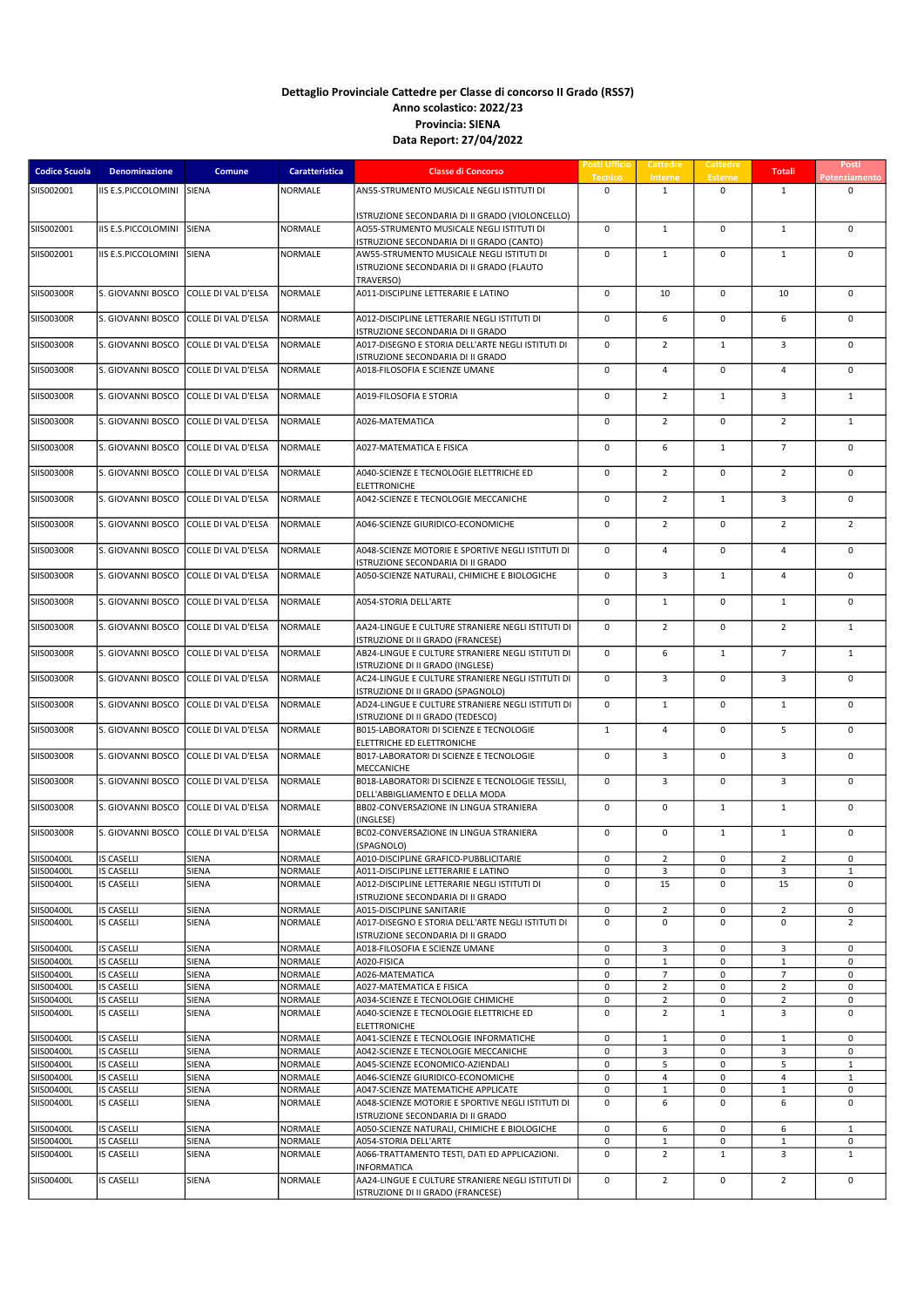| <b>Codice Scuola</b>     | Denominazione                          | Comune                     | Caratteristica                   | <b>Classe di Concorso</b>                                                              | Posti Ufficio<br><b>Tecnico</b> | <b>Cattedre</b><br>Interne     | Cattedre<br><b>Esterne</b> | <b>Totali</b>                 | Posti<br>Potenziament |
|--------------------------|----------------------------------------|----------------------------|----------------------------------|----------------------------------------------------------------------------------------|---------------------------------|--------------------------------|----------------------------|-------------------------------|-----------------------|
| SIIS002001               | IIS E.S.PICCOLOMINI SIENA              |                            | NORMALE                          | AN55-STRUMENTO MUSICALE NEGLI ISTITUTI DI                                              | $\mathbf 0$                     | $\mathbf{1}$                   | $\mathbf 0$                | $\mathbf{1}$                  | $\mathbf 0$           |
|                          |                                        |                            |                                  | ISTRUZIONE SECONDARIA DI II GRADO (VIOLONCELLO)                                        |                                 |                                |                            |                               |                       |
| SIIS002001               | IIS E.S.PICCOLOMINI                    | SIENA                      | NORMALE                          | AO55-STRUMENTO MUSICALE NEGLI ISTITUTI DI                                              | 0                               | $\mathbf{1}$                   | 0                          | $\mathbf{1}$                  | $\mathsf 0$           |
| SIIS002001               | IIS E.S.PICCOLOMINI                    | SIENA                      | NORMALE                          | ISTRUZIONE SECONDARIA DI II GRADO (CANTO)<br>AW55-STRUMENTO MUSICALE NEGLI ISTITUTI DI | 0                               | $\mathbf{1}$                   | $\mathsf 0$                | $\mathbf{1}$                  | $\pmb{0}$             |
|                          |                                        |                            |                                  | ISTRUZIONE SECONDARIA DI II GRADO (FLAUTO                                              |                                 |                                |                            |                               |                       |
| SIIS00300R               | S. GIOVANNI BOSCO                      | COLLE DI VAL D'ELSA        | NORMALE                          | TRAVERSO)<br>A011-DISCIPLINE LETTERARIE E LATINO                                       | 0                               | 10                             | $\mathsf 0$                | 10                            | $\mathbf 0$           |
|                          |                                        |                            |                                  |                                                                                        |                                 |                                |                            |                               |                       |
| SIIS00300R               | S. GIOVANNI BOSCO                      | COLLE DI VAL D'ELSA        | <b>NORMALE</b>                   | A012-DISCIPLINE LETTERARIE NEGLI ISTITUTI DI<br>ISTRUZIONE SECONDARIA DI II GRADO      | 0                               | 6                              | $\mathbf 0$                | 6                             | $\mathbf 0$           |
| SIIS00300R               | S. GIOVANNI BOSCO                      | COLLE DI VAL D'ELSA        | NORMALE                          | A017-DISEGNO E STORIA DELL'ARTE NEGLI ISTITUTI DI<br>ISTRUZIONE SECONDARIA DI II GRADO | 0                               | $\overline{2}$                 | $\mathbf{1}$               | $\overline{3}$                | 0                     |
| SIIS00300R               | S. GIOVANNI BOSCO                      | COLLE DI VAL D'ELSA        | NORMALE                          | A018-FILOSOFIA E SCIENZE UMANE                                                         | 0                               | $\overline{4}$                 | $\mathsf 0$                | $\overline{4}$                | $\mathbf 0$           |
| SIIS00300R               | S. GIOVANNI BOSCO                      | COLLE DI VAL D'ELSA        | NORMALE                          | A019-FILOSOFIA E STORIA                                                                | $\mathsf 0$                     | $\overline{2}$                 | $\mathbf{1}$               | $\overline{3}$                | $\mathbf{1}$          |
|                          |                                        |                            |                                  |                                                                                        |                                 |                                |                            |                               |                       |
| <b>SIIS00300R</b>        | S. GIOVANNI BOSCO                      | COLLE DI VAL D'ELSA        | NORMALE                          | A026-MATEMATICA                                                                        | 0                               | $\overline{2}$                 | $\mathsf 0$                | $\overline{2}$                | $\mathbf{1}$          |
| SIIS00300R               | S. GIOVANNI BOSCO                      | COLLE DI VAL D'ELSA        | NORMALE                          | A027-MATEMATICA E FISICA                                                               | 0                               | 6                              | $\mathbf{1}$               | $\overline{7}$                | $\mathbf 0$           |
| SIIS00300R               | S. GIOVANNI BOSCO                      | COLLE DI VAL D'ELSA        | NORMALE                          | A040-SCIENZE E TECNOLOGIE ELETTRICHE ED                                                | 0                               | $\overline{2}$                 | $\mathbf 0$                | $\overline{2}$                | $\mathbf 0$           |
| SIIS00300R               | S. GIOVANNI BOSCO                      | COLLE DI VAL D'ELSA        | NORMALE                          | <b>ELETTRONICHE</b><br>A042-SCIENZE E TECNOLOGIE MECCANICHE                            | 0                               | $\overline{2}$                 | $\mathbf{1}$               | 3                             | $\mathbf 0$           |
|                          |                                        |                            |                                  |                                                                                        |                                 |                                |                            |                               |                       |
| SIIS00300R               | S. GIOVANNI BOSCO                      | COLLE DI VAL D'ELSA        | NORMALE                          | A046-SCIENZE GIURIDICO-ECONOMICHE                                                      | 0                               | $\overline{2}$                 | $\mathbf 0$                | $\overline{2}$                | $\overline{2}$        |
| SIIS00300R               | S. GIOVANNI BOSCO                      | COLLE DI VAL D'ELSA        | <b>NORMALE</b>                   | A048-SCIENZE MOTORIE E SPORTIVE NEGLI ISTITUTI DI                                      | 0                               | $\overline{4}$                 | $\mathbf 0$                | $\overline{4}$                | $\mathbf 0$           |
| SIIS00300R               | S. GIOVANNI BOSCO                      | COLLE DI VAL D'ELSA        | NORMALE                          | ISTRUZIONE SECONDARIA DI II GRADO<br>A050-SCIENZE NATURALI, CHIMICHE E BIOLOGICHE      | 0                               | 3                              | $\mathbf{1}$               | 4                             | $\mathbf 0$           |
|                          |                                        |                            |                                  |                                                                                        |                                 |                                |                            |                               |                       |
| <b>SIIS00300R</b>        | S. GIOVANNI BOSCO                      | COLLE DI VAL D'ELSA        | NORMALE                          | A054-STORIA DELL'ARTE                                                                  | 0                               | $\mathbf{1}$                   | 0                          | $\mathbf{1}$                  | $\mathbf 0$           |
| SIIS00300R               | S. GIOVANNI BOSCO                      | COLLE DI VAL D'ELSA        | <b>NORMALE</b>                   | AA24-LINGUE E CULTURE STRANIERE NEGLI ISTITUTI DI                                      | 0                               | $\overline{2}$                 | $\mathsf 0$                | $\overline{2}$                | $\mathbf{1}$          |
| SIIS00300R               | S. GIOVANNI BOSCO                      | COLLE DI VAL D'ELSA        | NORMALE                          | ISTRUZIONE DI II GRADO (FRANCESE)<br>AB24-LINGUE E CULTURE STRANIERE NEGLI ISTITUTI DI | 0                               | 6                              | $\mathbf{1}$               | $\overline{7}$                | $\mathbf{1}$          |
| SIIS00300R               | S. GIOVANNI BOSCO                      | COLLE DI VAL D'ELSA        | NORMALE                          | ISTRUZIONE DI II GRADO (INGLESE)<br>AC24-LINGUE E CULTURE STRANIERE NEGLI ISTITUTI DI  | $\mathbf 0$                     | $\overline{3}$                 | $\mathbf 0$                | $\overline{3}$                | $\mathbf 0$           |
|                          |                                        |                            |                                  | ISTRUZIONE DI II GRADO (SPAGNOLO)                                                      |                                 |                                |                            |                               |                       |
| SIIS00300R               | S. GIOVANNI BOSCO                      | COLLE DI VAL D'ELSA        | NORMALE                          | AD24-LINGUE E CULTURE STRANIERE NEGLI ISTITUTI DI<br>ISTRUZIONE DI II GRADO (TEDESCO)  | $\mathbf 0$                     | $\mathbf{1}$                   | $\mathbf 0$                | $\mathbf{1}$                  | $\mathbf 0$           |
| <b>SIIS00300R</b>        | S. GIOVANNI BOSCO                      | COLLE DI VAL D'ELSA        | <b>NORMALE</b>                   | B015-LABORATORI DI SCIENZE E TECNOLOGIE                                                | $\mathbf{1}$                    | $\overline{4}$                 | $\mathbf 0$                | 5                             | $\mathbf 0$           |
| SIIS00300R               | S. GIOVANNI BOSCO                      | COLLE DI VAL D'ELSA        | <b>NORMALE</b>                   | ELETTRICHE ED ELETTRONICHE<br>B017-LABORATORI DI SCIENZE E TECNOLOGIE                  | 0                               | 3                              | $\mathbf 0$                | 3                             | $\mathsf 0$           |
| SIIS00300R               | S. GIOVANNI BOSCO                      | COLLE DI VAL D'ELSA        | NORMALE                          | MECCANICHE<br>B018-LABORATORI DI SCIENZE E TECNOLOGIE TESSILI,                         | 0                               | 3                              | $\mathbf 0$                | $\overline{3}$                | $\mathbf 0$           |
|                          |                                        |                            |                                  | DELL'ABBIGLIAMENTO E DELLA MODA                                                        |                                 |                                |                            |                               |                       |
| SIIS00300R               | S. GIOVANNI BOSCO                      | COLLE DI VAL D'ELSA        | <b>NORMALE</b>                   | BB02-CONVERSAZIONE IN LINGUA STRANIERA<br>(INGLESE)                                    | 0                               | $\mathbf 0$                    | $\mathbf{1}$               | $\mathbf{1}$                  | $\mathbf 0$           |
| SIIS00300R               | S. GIOVANNI BOSCO                      | <b>COLLE DI VAL D'ELSA</b> | NORMALE                          | BC02-CONVERSAZIONE IN LINGUA STRANIERA                                                 | 0                               | $\mathbf 0$                    | $\mathbf{1}$               | $\mathbf{1}$                  | $\mathbf 0$           |
| SIIS00400L               | <b>IS CASELLI</b>                      | SIENA                      | NORMALE                          | (SPAGNOLO)<br>A010-DISCIPLINE GRAFICO-PUBBLICITARIE                                    | 0                               | $\overline{2}$                 | 0                          | $\overline{2}$                | 0                     |
| SIIS00400L               | <b>IS CASELLI</b>                      | <b>SIENA</b>               | NORMALE                          | A011-DISCIPLINE LETTERARIE E LATINO                                                    | 0                               | 3                              | 0                          | 3                             | $\mathbf 1$           |
| SIIS00400L               | <b>IS CASELLI</b>                      | SIENA                      | <b>NORMALE</b>                   | A012-DISCIPLINE LETTERARIE NEGLI ISTITUTI DI<br>ISTRUZIONE SECONDARIA DI II GRADO      | 0                               | 15                             | 0                          | 15                            | 0                     |
| SIIS00400L               | <b>IS CASELLI</b>                      | SIENA                      | <b>NORMALE</b>                   | A015-DISCIPLINE SANITARIE                                                              | 0                               | $\overline{2}$                 | $\mathbf 0$                | $\overline{2}$                | 0                     |
| SIIS00400L               | <b>IS CASELLI</b>                      | SIENA                      | <b>NORMALE</b>                   | A017-DISEGNO E STORIA DELL'ARTE NEGLI ISTITUTI DI<br>ISTRUZIONE SECONDARIA DI II GRADO | 0                               | 0                              | $\mathbf 0$                | $\mathbf 0$                   | $\overline{2}$        |
| SIIS00400L               | <b>IS CASELLI</b>                      | <b>SIENA</b>               | <b>NORMALE</b>                   | A018-FILOSOFIA E SCIENZE UMANE                                                         | 0                               | 3                              | 0                          | 3                             | 0                     |
| SIIS00400L<br>SIIS00400L | <b>IS CASELLI</b><br><b>IS CASELLI</b> | SIENA<br>SIENA             | <b>NORMALE</b><br><b>NORMALE</b> | A020-FISICA<br>A026-MATEMATICA                                                         | 0<br>0                          | $\mathbf 1$<br>$\overline{7}$  | $\mathsf 0$<br>0           | $\mathbf 1$<br>$\overline{7}$ | $\mathbf 0$<br>0      |
| SIIS00400L               | <b>IS CASELLI</b>                      | SIENA                      | <b>NORMALE</b>                   | A027-MATEMATICA E FISICA                                                               | 0                               | $\overline{2}$                 | 0                          | $\overline{2}$                | 0                     |
| SIIS00400L               | <b>IS CASELLI</b>                      | SIENA                      | <b>NORMALE</b>                   | A034-SCIENZE E TECNOLOGIE CHIMICHE                                                     | 0                               | $\overline{2}$                 | $\mathsf 0$                | $\overline{2}$                | 0                     |
| SIIS00400L               | <b>IS CASELLI</b>                      | SIENA                      | <b>NORMALE</b>                   | A040-SCIENZE E TECNOLOGIE ELETTRICHE ED<br><b>ELETTRONICHE</b>                         | 0                               | $\overline{2}$                 | $\mathbf{1}$               | 3                             | 0                     |
| SIIS00400L               | <b>IS CASELLI</b>                      | SIENA                      | <b>NORMALE</b>                   | A041-SCIENZE E TECNOLOGIE INFORMATICHE                                                 | 0                               | $\mathbf{1}$                   | 0                          | $\mathbf{1}$                  | 0                     |
| SIIS00400L               | <b>IS CASELLI</b>                      | SIENA                      | NORMALE                          | A042-SCIENZE E TECNOLOGIE MECCANICHE                                                   | 0                               | 3                              | 0                          | 3                             | 0                     |
| SIIS00400L               | <b>IS CASELLI</b>                      | SIENA                      | <b>NORMALE</b>                   | A045-SCIENZE ECONOMICO-AZIENDALI                                                       | 0                               | 5                              | $\mathsf 0$                | 5                             | $\mathbf 1$           |
| SIIS00400L<br>SIIS00400L | <b>IS CASELLI</b><br><b>IS CASELLI</b> | SIENA<br><b>SIENA</b>      | NORMALE<br>NORMALE               | A046-SCIENZE GIURIDICO-ECONOMICHE<br>A047-SCIENZE MATEMATICHE APPLICATE                | 0<br>0                          | $\overline{4}$<br>1            | $\mathsf 0$<br>0           | 4<br>$\mathbf{1}$             | $\mathbf{1}$<br>0     |
| SIIS00400L               | <b>IS CASELLI</b>                      | SIENA                      | <b>NORMALE</b>                   | A048-SCIENZE MOTORIE E SPORTIVE NEGLI ISTITUTI DI                                      | 0                               | 6                              | $\mathbf 0$                | 6                             | $\mathbf 0$           |
|                          |                                        |                            |                                  | ISTRUZIONE SECONDARIA DI II GRADO                                                      |                                 |                                |                            |                               |                       |
| SIIS00400L               | <b>IS CASELLI</b><br><b>IS CASELLI</b> | SIENA                      | <b>NORMALE</b>                   | A050-SCIENZE NATURALI, CHIMICHE E BIOLOGICHE                                           | 0                               | 6                              | 0                          | 6                             | $\mathbf 1$           |
| SIIS00400L<br>SIIS00400L | <b>IS CASELLI</b>                      | <b>SIENA</b><br>SIENA      | NORMALE<br>NORMALE               | A054-STORIA DELL'ARTE<br>A066-TRATTAMENTO TESTI, DATI ED APPLICAZIONI.                 | 0<br>0                          | $\mathbf{1}$<br>$\overline{2}$ | 0<br>$\mathbf{1}$          | $\mathbf{1}$<br>3             | 0<br>$\mathbf{1}$     |
|                          |                                        |                            |                                  | INFORMATICA                                                                            |                                 |                                |                            |                               |                       |
| SIIS00400L               | <b>IS CASELLI</b>                      | SIENA                      | <b>NORMALE</b>                   | AA24-LINGUE E CULTURE STRANIERE NEGLI ISTITUTI DI<br>ISTRUZIONE DI II GRADO (FRANCESE) | 0                               | $\overline{2}$                 | $\mathbf 0$                | $\overline{2}$                | 0                     |
|                          |                                        |                            |                                  |                                                                                        |                                 |                                |                            |                               |                       |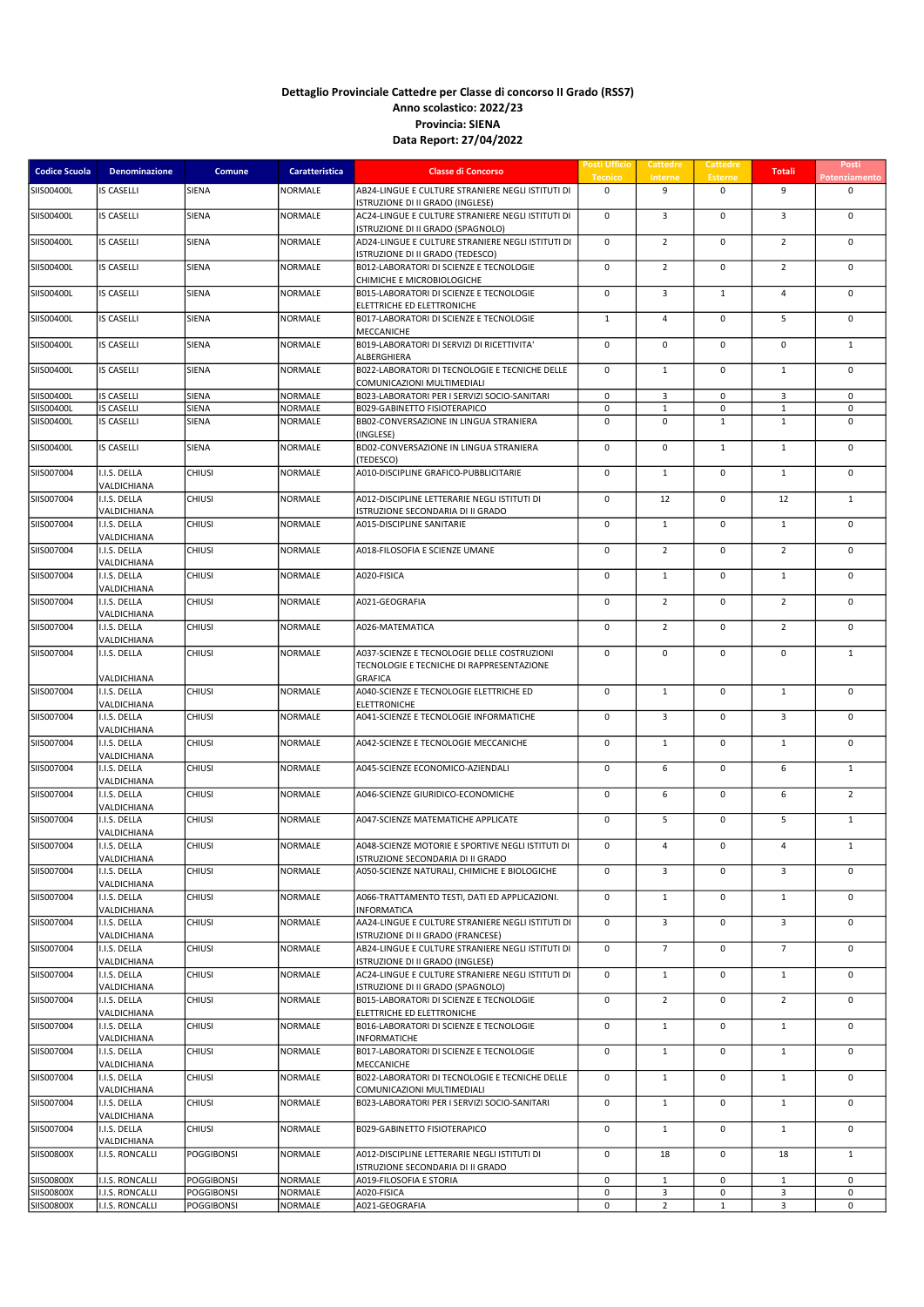| <b>Codice Scuola</b> | <b>Denominazione</b>        | Comune            | <b>Caratteristica</b> | <b>Classe di Concorso</b>                                                              | Posti Ufficio<br><b>Tecnico</b> | <b>Cattedre</b><br>Interne | Cattedre<br><b>Esterne</b> | <b>Totali</b>  | Posti<br>Potenziament |
|----------------------|-----------------------------|-------------------|-----------------------|----------------------------------------------------------------------------------------|---------------------------------|----------------------------|----------------------------|----------------|-----------------------|
| SIIS00400L           | <b>IS CASELLI</b>           | <b>SIENA</b>      | NORMALE               | AB24-LINGUE E CULTURE STRANIERE NEGLI ISTITUTI DI<br>ISTRUZIONE DI II GRADO (INGLESE)  | 0                               | 9                          | $\mathbf 0$                | 9              | 0                     |
| SIIS00400L           | <b>IS CASELLI</b>           | SIENA             | <b>NORMALE</b>        | AC24-LINGUE E CULTURE STRANIERE NEGLI ISTITUTI DI<br>ISTRUZIONE DI II GRADO (SPAGNOLO) | 0                               | 3                          | $\mathbf 0$                | $\overline{3}$ | $\mathbf 0$           |
| SIIS00400L           | <b>IS CASELLI</b>           | SIENA             | <b>NORMALE</b>        | AD24-LINGUE E CULTURE STRANIERE NEGLI ISTITUTI DI<br>ISTRUZIONE DI II GRADO (TEDESCO)  | $\mathbf 0$                     | $\overline{2}$             | $\mathbf 0$                | $\overline{2}$ | $\mathbf 0$           |
| SIIS00400L           | <b>IS CASELLI</b>           | SIENA             | <b>NORMALE</b>        | B012-LABORATORI DI SCIENZE E TECNOLOGIE<br>CHIMICHE E MICROBIOLOGICHE                  | 0                               | $\overline{2}$             | $\mathbf 0$                | $\overline{2}$ | $\mathbf 0$           |
| SIIS00400L           | <b>IS CASELLI</b>           | SIENA             | <b>NORMALE</b>        | B015-LABORATORI DI SCIENZE E TECNOLOGIE<br>ELETTRICHE ED ELETTRONICHE                  | 0                               | $\overline{3}$             | $\mathbf{1}$               | $\overline{4}$ | $\mathbf 0$           |
| SIIS00400L           | <b>IS CASELLI</b>           | <b>SIENA</b>      | <b>NORMALE</b>        | B017-LABORATORI DI SCIENZE E TECNOLOGIE<br>MECCANICHE                                  | $\mathbf{1}$                    | 4                          | $\mathbf 0$                | 5              | $\mathbf 0$           |
| SIIS00400L           | <b>IS CASELLI</b>           | SIENA             | <b>NORMALE</b>        | B019-LABORATORI DI SERVIZI DI RICETTIVITA'<br>ALBERGHIERA                              | $\mathbf 0$                     | $\mathbf 0$                | $\mathsf 0$                | $\mathbf 0$    | $\mathbf{1}$          |
| SIIS00400L           | <b>IS CASELLI</b>           | <b>SIENA</b>      | <b>NORMALE</b>        | B022-LABORATORI DI TECNOLOGIE E TECNICHE DELLE<br>COMUNICAZIONI MULTIMEDIALI           | 0                               | $\mathbf{1}$               | $\mathbf 0$                | $\mathbf{1}$   | $\mathbf 0$           |
| SIIS00400L           | <b>IS CASELLI</b>           | <b>SIENA</b>      | NORMALE               | B023-LABORATORI PER I SERVIZI SOCIO-SANITARI                                           | 0                               | 3                          | 0                          | 3              | $\mathsf 0$           |
| SIIS00400L           | <b>IS CASELLI</b>           | SIENA             | NORMALE               | B029-GABINETTO FISIOTERAPICO                                                           | 0                               | $\mathbf 1$                | 0                          | $\mathbf{1}$   | 0                     |
| SIIS00400L           | <b>IS CASELLI</b>           | <b>SIENA</b>      | <b>NORMALE</b>        | BB02-CONVERSAZIONE IN LINGUA STRANIERA<br>(INGLESE)                                    | 0                               | $\mathsf 0$                | $\mathbf{1}$               | $\mathbf{1}$   | $\pmb{0}$             |
| SIIS00400L           | <b>IS CASELLI</b>           | SIENA             | NORMALE               | BD02-CONVERSAZIONE IN LINGUA STRANIERA<br>(TEDESCO)                                    | 0                               | $\mathbf 0$                | $\mathbf{1}$               | $\mathbf{1}$   | $\mathbf 0$           |
| SIIS007004           | I.I.S. DELLA<br>VALDICHIANA | <b>CHIUSI</b>     | NORMALE               | A010-DISCIPLINE GRAFICO-PUBBLICITARIE                                                  | 0                               | $\mathbf{1}$               | $\mathbf 0$                | $\mathbf{1}$   | $\mathbf 0$           |
| SIIS007004           | I.I.S. DELLA                | <b>CHIUSI</b>     | <b>NORMALE</b>        | A012-DISCIPLINE LETTERARIE NEGLI ISTITUTI DI<br>ISTRUZIONE SECONDARIA DI II GRADO      | $\mathsf 0$                     | 12                         | $\mathsf 0$                | 12             | $\mathbf{1}$          |
| SIIS007004           | VALDICHIANA<br>I.I.S. DELLA | <b>CHIUSI</b>     | <b>NORMALE</b>        | A015-DISCIPLINE SANITARIE                                                              | 0                               | $\mathbf{1}$               | $\mathbf 0$                | $\mathbf{1}$   | $\mathbf 0$           |
| SIIS007004           | VALDICHIANA<br>I.I.S. DELLA | <b>CHIUSI</b>     | <b>NORMALE</b>        | A018-FILOSOFIA E SCIENZE UMANE                                                         | 0                               | $\overline{2}$             | $\mathsf 0$                | $\overline{2}$ | $\mathbf 0$           |
| SIIS007004           | VALDICHIANA<br>I.I.S. DELLA | CHIUSI            | <b>NORMALE</b>        | A020-FISICA                                                                            | 0                               | $\mathbf{1}$               | $\mathsf 0$                | $\mathbf{1}$   | $\mathbf 0$           |
| SIIS007004           | VALDICHIANA<br>I.I.S. DELLA | <b>CHIUSI</b>     | <b>NORMALE</b>        | A021-GEOGRAFIA                                                                         | 0                               | $\overline{2}$             | $\mathsf 0$                | $\overline{2}$ | $\mathbf 0$           |
| SIIS007004           | VALDICHIANA<br>I.I.S. DELLA | CHIUSI            | <b>NORMALE</b>        | A026-MATEMATICA                                                                        | 0                               | $\overline{2}$             | $\mathbf 0$                | $\overline{2}$ | $\pmb{0}$             |
| SIIS007004           | VALDICHIANA<br>I.I.S. DELLA | <b>CHIUSI</b>     | <b>NORMALE</b>        | A037-SCIENZE E TECNOLOGIE DELLE COSTRUZIONI                                            | 0                               | $\mathsf 0$                | $\mathbf 0$                | $\mathbf 0$    | $\mathbf 1$           |
|                      | VALDICHIANA                 |                   |                       | TECNOLOGIE E TECNICHE DI RAPPRESENTAZIONE<br><b>GRAFICA</b>                            |                                 |                            |                            |                |                       |
| SIIS007004           | I.I.S. DELLA<br>VALDICHIANA | CHIUSI            | NORMALE               | A040-SCIENZE E TECNOLOGIE ELETTRICHE ED<br><b>ELETTRONICHE</b>                         | 0                               | $\mathbf{1}$               | $\mathbf 0$                | 1              | $\mathsf 0$           |
| SIIS007004           | I.I.S. DELLA<br>VALDICHIANA | CHIUSI            | NORMALE               | A041-SCIENZE E TECNOLOGIE INFORMATICHE                                                 | 0                               | 3                          | $\mathsf 0$                | 3              | $\mathbf 0$           |
| SIIS007004           | I.I.S. DELLA<br>VALDICHIANA | <b>CHIUSI</b>     | NORMALE               | A042-SCIENZE E TECNOLOGIE MECCANICHE                                                   | 0                               | $\mathbf{1}$               | $\mathbf 0$                | 1              | $\mathbf 0$           |
| SIIS007004           | I.I.S. DELLA<br>VALDICHIANA | <b>CHIUSI</b>     | NORMALE               | A045-SCIENZE ECONOMICO-AZIENDALI                                                       | $\mathsf 0$                     | 6                          | $\mathsf 0$                | 6              | $\mathbf{1}$          |
| SIIS007004           | I.I.S. DELLA<br>VALDICHIANA | CHIUSI            | <b>NORMALE</b>        | A046-SCIENZE GIURIDICO-ECONOMICHE                                                      | 0                               | 6                          | $\mathbf 0$                | 6              | $\overline{2}$        |
| SIIS007004           | I.I.S. DELLA<br>VALDICHIANA | CHIUSI            | NORMALE               | A047-SCIENZE MATEMATICHE APPLICATE                                                     | 0                               | 5                          | $\mathsf 0$                | 5              | $\mathbf{1}$          |
| SIIS007004           | I.I.S. DELLA<br>VALDICHIANA | CHIUSI            | NORMALE               | A048-SCIENZE MOTORIE E SPORTIVE NEGLI ISTITUTI DI<br>ISTRUZIONE SECONDARIA DI II GRADO | $\mathbf 0$                     | $\overline{4}$             | $\mathbf 0$                | $\overline{4}$ | $\mathbf{1}$          |
| SIIS007004           | I.I.S. DELLA<br>VALDICHIANA | <b>CHIUSI</b>     | <b>NORMALE</b>        | A050-SCIENZE NATURALI, CHIMICHE E BIOLOGICHE                                           | 0                               | $\overline{3}$             | $\mathbf 0$                | $\overline{3}$ | $\mathbf 0$           |
| SIIS007004           | I.I.S. DELLA<br>VALDICHIANA | CHIUSI            | <b>NORMALE</b>        | A066-TRATTAMENTO TESTI, DATI ED APPLICAZIONI.<br><b>INFORMATICA</b>                    | 0                               | $\mathbf{1}$               | $\mathsf 0$                | $\mathbf{1}$   | $\mathbf 0$           |
| SIIS007004           | I.I.S. DELLA<br>VALDICHIANA | <b>CHIUSI</b>     | <b>NORMALE</b>        | AA24-LINGUE E CULTURE STRANIERE NEGLI ISTITUTI DI<br>ISTRUZIONE DI II GRADO (FRANCESE) | 0                               | 3                          | 0                          | 3              | 0                     |
| SIIS007004           | I.I.S. DELLA<br>VALDICHIANA | CHIUSI            | <b>NORMALE</b>        | AB24-LINGUE E CULTURE STRANIERE NEGLI ISTITUTI DI<br>ISTRUZIONE DI II GRADO (INGLESE)  | 0                               | $\overline{7}$             | $\mathbf 0$                | $\overline{7}$ | $\mathbf 0$           |
| SIIS007004           | I.I.S. DELLA<br>VALDICHIANA | <b>CHIUSI</b>     | NORMALE               | AC24-LINGUE E CULTURE STRANIERE NEGLI ISTITUTI DI<br>ISTRUZIONE DI II GRADO (SPAGNOLO) | 0                               | $\mathbf{1}$               | 0                          | $\mathbf{1}$   | $\mathbf 0$           |
| SIIS007004           | I.I.S. DELLA<br>VALDICHIANA | CHIUSI            | <b>NORMALE</b>        | B015-LABORATORI DI SCIENZE E TECNOLOGIE<br>ELETTRICHE ED ELETTRONICHE                  | 0                               | $\overline{2}$             | $\mathbf 0$                | $\overline{2}$ | 0                     |
| SIIS007004           | I.I.S. DELLA<br>VALDICHIANA | <b>CHIUSI</b>     | NORMALE               | B016-LABORATORI DI SCIENZE E TECNOLOGIE<br><b>INFORMATICHE</b>                         | 0                               | $\mathbf{1}$               | 0                          | $\mathbf{1}$   | 0                     |
| SIIS007004           | I.I.S. DELLA<br>VALDICHIANA | <b>CHIUSI</b>     | <b>NORMALE</b>        | B017-LABORATORI DI SCIENZE E TECNOLOGIE<br>MECCANICHE                                  | 0                               | $\mathbf{1}$               | $\mathsf 0$                | $\mathbf{1}$   | 0                     |
| SIIS007004           | I.I.S. DELLA<br>VALDICHIANA | <b>CHIUSI</b>     | NORMALE               | B022-LABORATORI DI TECNOLOGIE E TECNICHE DELLE<br>COMUNICAZIONI MULTIMEDIALI           | 0                               | $\mathbf{1}$               | 0                          | 1              | 0                     |
| SIIS007004           | I.I.S. DELLA<br>VALDICHIANA | <b>CHIUSI</b>     | <b>NORMALE</b>        | B023-LABORATORI PER I SERVIZI SOCIO-SANITARI                                           | 0                               | $\mathbf{1}$               | $\mathsf 0$                | $\mathbf{1}$   | 0                     |
| SIIS007004           | I.I.S. DELLA<br>VALDICHIANA | <b>CHIUSI</b>     | NORMALE               | B029-GABINETTO FISIOTERAPICO                                                           | 0                               | $\mathbf{1}$               | $\mathsf 0$                | $\mathbf{1}$   | $\mathbf 0$           |
| SIIS00800X           | I.I.S. RONCALLI             | <b>POGGIBONSI</b> | <b>NORMALE</b>        | A012-DISCIPLINE LETTERARIE NEGLI ISTITUTI DI<br>ISTRUZIONE SECONDARIA DI II GRADO      | $\mathbf 0$                     | 18                         | $\mathsf 0$                | 18             | $\mathbf{1}$          |
| SIIS00800X           | I.I.S. RONCALLI             | <b>POGGIBONSI</b> | <b>NORMALE</b>        | A019-FILOSOFIA E STORIA                                                                | 0                               | $\mathbf{1}$               | 0                          | 1              | 0                     |
| SIIS00800X           | I.I.S. RONCALLI             | <b>POGGIBONSI</b> | <b>NORMALE</b>        | A020-FISICA                                                                            | 0                               | 3                          | 0                          | 3              | 0                     |
| SIIS00800X           | I.I.S. RONCALLI             | <b>POGGIBONSI</b> | NORMALE               | A021-GEOGRAFIA                                                                         | 0                               | $\overline{2}$             | $\mathbf{1}$               | $\overline{3}$ | 0                     |
|                      |                             |                   |                       |                                                                                        |                                 |                            |                            |                |                       |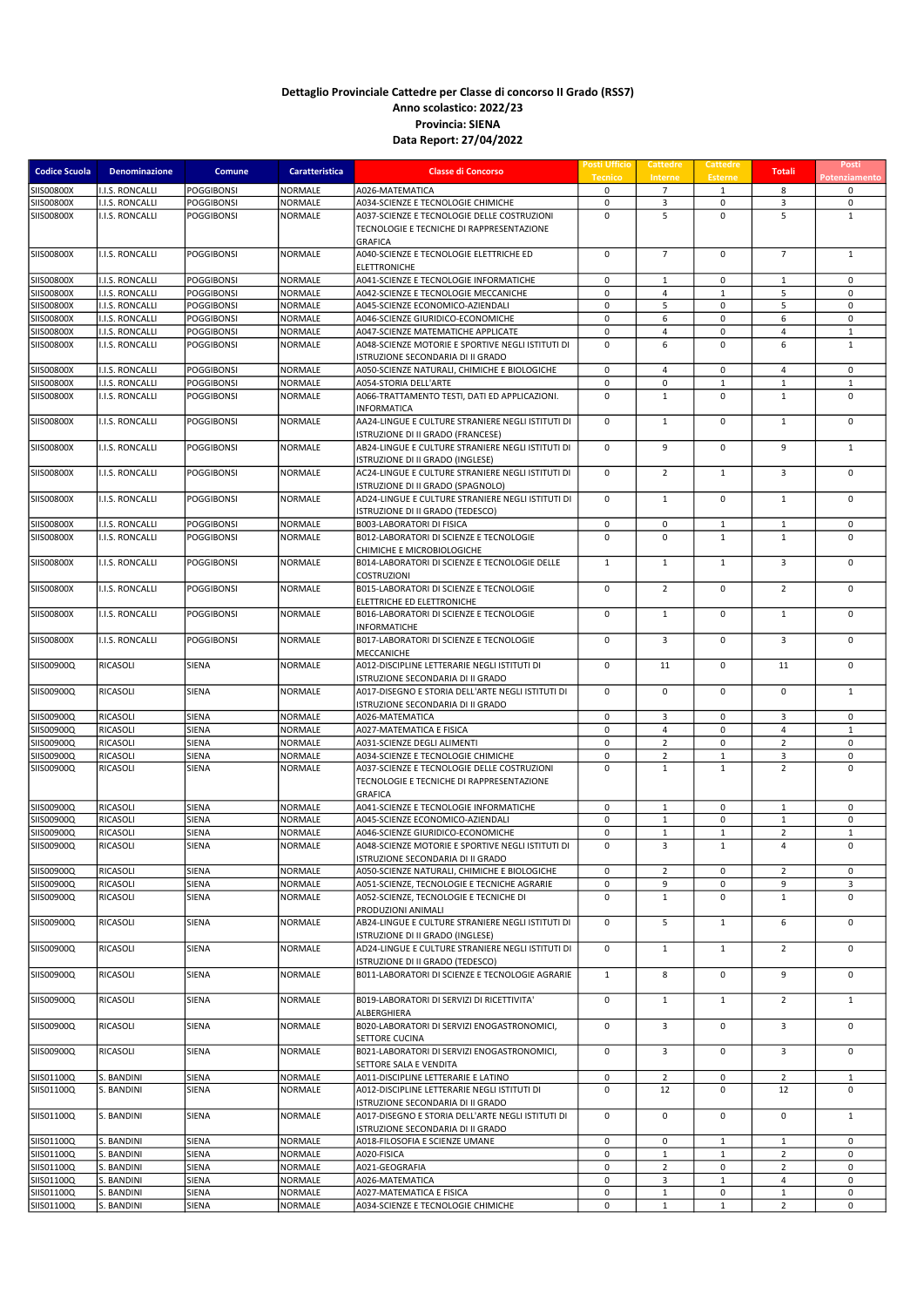| <b>Codice Scuola</b>                   | Denominazione                      | Comune                                 | Caratteristica            | <b>Classe di Concorso</b>                                                                                                   | Posti Ufficio<br><b>Tecnico</b> | Cattedre<br>Interne            | Cattedre<br><b>Esterne</b>   | <b>Totali</b>                  | Posti<br>Potenziamento     |
|----------------------------------------|------------------------------------|----------------------------------------|---------------------------|-----------------------------------------------------------------------------------------------------------------------------|---------------------------------|--------------------------------|------------------------------|--------------------------------|----------------------------|
| <b>SIIS00800X</b>                      | I.I.S. RONCALLI                    | <b>POGGIBONSI</b>                      | NORMALE                   | A026-MATEMATICA                                                                                                             | 0                               | $\overline{7}$                 | $\mathbf{1}$                 | 8                              | $\mathbf 0$                |
| <b>SIIS00800X</b>                      | I.I.S. RONCALLI                    | <b>POGGIBONSI</b>                      | <b>NORMALE</b>            | A034-SCIENZE E TECNOLOGIE CHIMICHE                                                                                          | $\mathbf 0$                     | 3                              | 0                            | 3                              | 0                          |
| <b>SIIS00800X</b>                      | I.I.S. RONCALLI                    | <b>POGGIBONSI</b>                      | NORMALE                   | A037-SCIENZE E TECNOLOGIE DELLE COSTRUZIONI<br>TECNOLOGIE E TECNICHE DI RAPPRESENTAZIONE<br><b>GRAFICA</b>                  | $\mathbf 0$                     | 5                              | $\mathbf 0$                  | 5                              | $\mathbf{1}$               |
| <b>SIIS00800X</b>                      | I.I.S. RONCALLI                    | <b>POGGIBONSI</b>                      | <b>NORMALE</b>            | A040-SCIENZE E TECNOLOGIE ELETTRICHE ED<br><b>ELETTRONICHE</b>                                                              | $\mathbf 0$                     | $\overline{7}$                 | $\mathbf 0$                  | $\overline{7}$                 | $\mathbf{1}$               |
| <b>SIIS00800X</b>                      | I.I.S. RONCALLI                    | <b>POGGIBONSI</b>                      | NORMALE                   | A041-SCIENZE E TECNOLOGIE INFORMATICHE                                                                                      | $\mathbf 0$                     | $\mathbf{1}$                   | $\mathbf 0$                  | $\mathbf{1}$                   | $\mathbf 0$                |
| <b>SIIS00800X</b>                      | I.I.S. RONCALLI                    | <b>POGGIBONSI</b>                      | NORMALE                   | A042-SCIENZE E TECNOLOGIE MECCANICHE                                                                                        | $\mathbf 0$                     | $\overline{4}$                 | $\mathbf{1}$                 | 5                              | $\mathbf 0$                |
| <b>SIIS00800X</b><br><b>SIIS00800X</b> | I.I.S. RONCALLI                    | <b>POGGIBONSI</b>                      | <b>NORMALE</b><br>NORMALE | A045-SCIENZE ECONOMICO-AZIENDALI                                                                                            | $\mathbf 0$<br>$\mathbf 0$      | 5<br>6                         | 0<br>$\pmb{0}$               | 5<br>6                         | $\mathbf 0$<br>$\mathbf 0$ |
| <b>SIIS00800X</b>                      | I.I.S. RONCALLI<br>I.I.S. RONCALLI | <b>POGGIBONSI</b><br><b>POGGIBONSI</b> | NORMALE                   | A046-SCIENZE GIURIDICO-ECONOMICHE<br>A047-SCIENZE MATEMATICHE APPLICATE                                                     | $\mathbf 0$                     | $\overline{4}$                 | $\mathbf 0$                  | $\overline{4}$                 | $\mathbf 1$                |
| <b>SIIS00800X</b>                      | I.I.S. RONCALLI                    | <b>POGGIBONSI</b>                      | <b>NORMALE</b>            | A048-SCIENZE MOTORIE E SPORTIVE NEGLI ISTITUTI DI<br>ISTRUZIONE SECONDARIA DI II GRADO                                      | $\mathbf 0$                     | 6                              | $\pmb{0}$                    | 6                              | $\mathbf 1$                |
| <b>SIIS00800X</b>                      | I.I.S. RONCALLI                    | <b>POGGIBONSI</b>                      | NORMALE                   | A050-SCIENZE NATURALI, CHIMICHE E BIOLOGICHE                                                                                | 0                               | $\overline{4}$                 | $\pmb{0}$                    | $\overline{4}$                 | $\mathsf 0$                |
| <b>SIIS00800X</b>                      | I.I.S. RONCALLI                    | <b>POGGIBONSI</b>                      | NORMALE                   | A054-STORIA DELL'ARTE                                                                                                       | 0                               | $\mathsf 0$                    | $\mathbf{1}$                 | $\mathbf{1}$                   | $\mathbf{1}$               |
| <b>SIIS00800X</b>                      | I.I.S. RONCALLI                    | <b>POGGIBONSI</b>                      | NORMALE                   | A066-TRATTAMENTO TESTI, DATI ED APPLICAZIONI.<br><b>INFORMATICA</b>                                                         | $\mathbf 0$                     | $\mathbf{1}$                   | $\mathbf 0$                  | $\mathbf{1}$                   | $\mathbf 0$                |
| <b>SIIS00800X</b>                      | I.I.S. RONCALLI                    | <b>POGGIBONSI</b>                      | <b>NORMALE</b>            | AA24-LINGUE E CULTURE STRANIERE NEGLI ISTITUTI DI<br>ISTRUZIONE DI II GRADO (FRANCESE)                                      | 0                               | $\mathbf{1}$                   | $\pmb{0}$                    | $\mathbf{1}$                   | $\mathbf 0$                |
| <b>SIIS00800X</b>                      | I.I.S. RONCALLI                    | <b>POGGIBONSI</b>                      | <b>NORMALE</b>            | AB24-LINGUE E CULTURE STRANIERE NEGLI ISTITUTI DI<br>ISTRUZIONE DI II GRADO (INGLESE)                                       | 0                               | 9                              | 0                            | 9                              | $\mathbf{1}$               |
| SIIS00800X                             | I.I.S. RONCALLI                    | <b>POGGIBONSI</b>                      | NORMALE                   | AC24-LINGUE E CULTURE STRANIERE NEGLI ISTITUTI DI<br>ISTRUZIONE DI II GRADO (SPAGNOLO)                                      | $\mathbf 0$                     | $\overline{2}$                 | $\mathbf{1}$                 | 3                              | $\mathbf 0$                |
| <b>SIIS00800X</b>                      | <b>I.I.S. RONCALLI</b>             | <b>POGGIBONSI</b>                      | NORMALE                   | AD24-LINGUE E CULTURE STRANIERE NEGLI ISTITUTI DI<br>ISTRUZIONE DI II GRADO (TEDESCO)                                       | 0                               | $\mathbf{1}$                   | 0                            | $\mathbf{1}$                   | $\mathbf 0$                |
| <b>SIIS00800X</b>                      | I.I.S. RONCALLI                    | <b>POGGIBONSI</b>                      | <b>NORMALE</b>            | <b>B003-LABORATORI DI FISICA</b>                                                                                            | 0                               | 0                              | $\mathbf{1}$                 | $\mathbf{1}$                   | 0                          |
| <b>SIIS00800X</b>                      | I.I.S. RONCALLI                    | <b>POGGIBONSI</b>                      | <b>NORMALE</b>            | B012-LABORATORI DI SCIENZE E TECNOLOGIE<br>CHIMICHE E MICROBIOLOGICHE                                                       | $\mathbf 0$                     | $\mathbf 0$                    | $\mathbf{1}$                 | $\mathbf{1}$                   | $\mathbf 0$                |
| <b>SIIS00800X</b>                      | I.I.S. RONCALLI                    | <b>POGGIBONSI</b>                      | <b>NORMALE</b>            | B014-LABORATORI DI SCIENZE E TECNOLOGIE DELLE<br><b>COSTRUZIONI</b>                                                         | $\mathbf{1}$                    | $\mathbf{1}$                   | $\mathbf{1}$                 | $\overline{3}$                 | $\mathbf 0$                |
| <b>SIIS00800X</b>                      | <b>I.I.S. RONCALLI</b>             | <b>POGGIBONSI</b>                      | <b>NORMALE</b>            | B015-LABORATORI DI SCIENZE E TECNOLOGIE<br>ELETTRICHE ED ELETTRONICHE                                                       | $\mathbf 0$                     | $\overline{2}$                 | $\mathbf 0$                  | $\overline{2}$                 | $\mathbf 0$                |
| <b>SIIS00800X</b>                      | I.I.S. RONCALLI                    | <b>POGGIBONSI</b>                      | NORMALE                   | B016-LABORATORI DI SCIENZE E TECNOLOGIE<br><b>INFORMATICHE</b>                                                              | $\mathbf 0$                     | $\mathbf{1}$                   | $\mathbf 0$                  | $\mathbf{1}$                   | $\mathsf 0$                |
| <b>SIIS00800X</b>                      | I.I.S. RONCALLI                    | <b>POGGIBONSI</b>                      | NORMALE                   | B017-LABORATORI DI SCIENZE E TECNOLOGIE<br>MECCANICHE                                                                       | $\mathbf 0$                     | $\overline{3}$                 | $\mathbf 0$                  | 3                              | $\mathbf 0$                |
| SIIS00900Q                             | <b>RICASOLI</b>                    | SIENA                                  | <b>NORMALE</b>            | A012-DISCIPLINE LETTERARIE NEGLI ISTITUTI DI<br>ISTRUZIONE SECONDARIA DI II GRADO                                           | 0                               | 11                             | 0                            | 11                             | $\mathsf 0$                |
| SIIS00900Q                             | RICASOLI                           | SIENA                                  | <b>NORMALE</b>            | A017-DISEGNO E STORIA DELL'ARTE NEGLI ISTITUTI DI<br>ISTRUZIONE SECONDARIA DI II GRADO                                      | 0                               | $\mathbf 0$                    | $\pmb{0}$                    | $\mathbf 0$                    | $\mathbf{1}$               |
| SIIS00900Q                             | <b>RICASOLI</b>                    | <b>SIENA</b>                           | NORMALE                   | A026-MATEMATICA                                                                                                             | 0                               | 3                              | 0                            | 3                              | 0                          |
| SIIS00900Q                             | RICASOLI                           | <b>SIENA</b>                           | NORMALE                   | A027-MATEMATICA E FISICA                                                                                                    | $\mathbf 0$                     | $\overline{4}$                 | 0                            | $\overline{4}$                 | $\mathbf{1}$               |
| SIIS00900Q                             | RICASOLI                           | <b>SIENA</b>                           | NORMALE                   | A031-SCIENZE DEGLI ALIMENTI                                                                                                 | 0                               | $\overline{2}$                 | 0                            | $\overline{2}$                 | 0                          |
| SIIS00900Q                             | <b>RICASOLI</b>                    | <b>SIENA</b>                           | <b>NORMALE</b>            | A034-SCIENZE E TECNOLOGIE CHIMICHE                                                                                          | $\mathsf 0$                     | $\overline{2}$                 | $\mathbf 1$                  | 3                              | $\mathbf 0$                |
| SIIS00900Q                             | <b>RICASOLI</b>                    | SIENA                                  | <b>NORMALE</b>            | A037-SCIENZE E TECNOLOGIE DELLE COSTRUZIONI<br>TECNOLOGIE E TECNICHE DI RAPPRESENTAZIONE<br><b>GRAFICA</b>                  | $\mathbf 0$                     | $\mathbf{1}$                   | $\mathbf{1}$                 | $\overline{2}$                 | $\mathbf 0$                |
| SIIS00900Q                             | <b>RICASOLI</b>                    | SIENA                                  | NORMALE                   | A041-SCIENZE E TECNOLOGIE INFORMATICHE                                                                                      | $\mathbf 0$                     | $\mathbf 1$                    | $\mathbf 0$                  | $\mathbf 1$                    | $\mathbf 0$                |
| SIIS00900Q                             | RICASOLI                           | <b>SIENA</b>                           | NORMALE                   | A045-SCIENZE ECONOMICO-AZIENDALI                                                                                            | 0                               | $\mathbf{1}$                   | 0                            | $\mathbf{1}$                   | $\mathsf 0$                |
| SIIS00900Q<br>SIIS00900Q               | <b>RICASOLI</b><br>RICASOLI        | <b>SIENA</b><br>SIENA                  | NORMALE<br><b>NORMALE</b> | A046-SCIENZE GIURIDICO-ECONOMICHE<br>A048-SCIENZE MOTORIE E SPORTIVE NEGLI ISTITUTI DI<br>ISTRUZIONE SECONDARIA DI II GRADO | $\mathbf 0$<br>$\mathbf 0$      | $\mathbf{1}$<br>$\overline{3}$ | $\mathbf{1}$<br>$\mathbf{1}$ | $\overline{2}$<br>4            | $\mathbf 1$<br>$\mathbf 0$ |
| SIIS00900Q                             | <b>RICASOLI</b>                    | SIENA                                  | NORMALE                   | A050-SCIENZE NATURALI, CHIMICHE E BIOLOGICHE                                                                                | 0                               | $\overline{2}$                 | $\mathbf 0$                  | $\overline{2}$                 | 0                          |
| SIIS00900Q                             | RICASOLI                           | <b>SIENA</b>                           | <b>NORMALE</b>            | A051-SCIENZE, TECNOLOGIE E TECNICHE AGRARIE                                                                                 | 0                               | 9                              | 0                            | 9                              | 3                          |
| SIIS00900Q                             | RICASOLI                           | SIENA                                  | NORMALE                   | A052-SCIENZE, TECNOLOGIE E TECNICHE DI<br>PRODUZIONI ANIMALI                                                                | $\mathbf 0$                     | $\mathbf{1}$                   | 0                            | $\mathbf{1}$                   | $\mathbf 0$                |
| SIIS00900Q                             | RICASOLI                           | SIENA                                  | NORMALE                   | AB24-LINGUE E CULTURE STRANIERE NEGLI ISTITUTI DI<br>ISTRUZIONE DI II GRADO (INGLESE)                                       | $\mathbf 0$                     | 5                              | $\mathbf{1}$                 | 6                              | $\mathsf 0$                |
| SIIS00900Q                             | RICASOLI                           | SIENA                                  | <b>NORMALE</b>            | AD24-LINGUE E CULTURE STRANIERE NEGLI ISTITUTI DI<br>ISTRUZIONE DI II GRADO (TEDESCO)                                       | 0                               | $\mathbf{1}$                   | $\mathbf{1}$                 | $\overline{2}$                 | $\mathbf 0$                |
| SIIS00900Q                             | RICASOLI                           | SIENA                                  | <b>NORMALE</b>            | B011-LABORATORI DI SCIENZE E TECNOLOGIE AGRARIE                                                                             | $\mathbf{1}$                    | 8                              | $\mathbf 0$                  | 9                              | $\mathbf 0$                |
| SIIS00900Q                             | RICASOLI                           | SIENA                                  | NORMALE                   | B019-LABORATORI DI SERVIZI DI RICETTIVITA'<br>ALBERGHIERA                                                                   | $\mathbf 0$                     | $\mathbf{1}$                   | $\mathbf{1}$                 | $\overline{2}$                 | $\mathbf{1}$               |
| SIIS00900Q                             | RICASOLI                           | SIENA                                  | <b>NORMALE</b>            | B020-LABORATORI DI SERVIZI ENOGASTRONOMICI,<br>SETTORE CUCINA                                                               | 0                               | 3                              | $\mathbf 0$                  | 3                              | $\mathsf 0$                |
| SIIS00900Q                             | RICASOLI                           | SIENA                                  | <b>NORMALE</b>            | B021-LABORATORI DI SERVIZI ENOGASTRONOMICI,<br>SETTORE SALA E VENDITA                                                       | $\mathbf 0$                     | 3                              | $\mathbf 0$                  | 3                              | $\mathbf 0$                |
| SIIS01100Q                             | S. BANDINI                         | <b>SIENA</b>                           | NORMALE                   | A011-DISCIPLINE LETTERARIE E LATINO                                                                                         | 0                               | $\overline{2}$                 | 0                            | $\overline{2}$                 | $\mathbf{1}$               |
| SIIS01100Q                             | S. BANDINI                         | <b>SIENA</b>                           | NORMALE                   | A012-DISCIPLINE LETTERARIE NEGLI ISTITUTI DI<br>ISTRUZIONE SECONDARIA DI II GRADO                                           | $\mathbf 0$                     | 12                             | 0                            | 12                             | $\mathbf 0$                |
| SIIS01100Q                             | S. BANDINI                         | SIENA                                  | NORMALE                   | A017-DISEGNO E STORIA DELL'ARTE NEGLI ISTITUTI DI<br>ISTRUZIONE SECONDARIA DI II GRADO                                      | $\mathbf 0$                     | $\mathbf 0$                    | $\mathbf 0$                  | 0                              | $\mathbf{1}$               |
| SIIS01100Q                             | S. BANDINI                         | SIENA                                  | <b>NORMALE</b>            | A018-FILOSOFIA E SCIENZE UMANE                                                                                              | 0                               | 0                              | $\mathbf{1}$                 | $\mathbf{1}$                   | 0                          |
| SIIS01100Q                             | S. BANDINI                         | SIENA                                  | NORMALE                   | A020-FISICA                                                                                                                 | 0                               | $\mathbf{1}$                   | $\mathbf{1}$                 | $\overline{2}$                 | $\mathbf 0$                |
| SIIS01100Q                             | S. BANDINI                         | SIENA                                  | <b>NORMALE</b>            | A021-GEOGRAFIA                                                                                                              | $\mathbf 0$                     | $\overline{2}$                 | 0                            | $\overline{2}$                 | 0                          |
| SIIS01100Q                             | S. BANDINI                         | <b>SIENA</b>                           | NORMALE                   | A026-MATEMATICA                                                                                                             | 0                               | 3                              | $\mathbf{1}$                 | 4                              | 0                          |
| SIIS01100Q<br>SIIS01100Q               | S. BANDINI<br>S. BANDINI           | <b>SIENA</b><br>SIENA                  | <b>NORMALE</b><br>NORMALE | A027-MATEMATICA E FISICA<br>A034-SCIENZE E TECNOLOGIE CHIMICHE                                                              | $\mathbf 0$<br>$\mathbf 0$      | $\mathbf{1}$<br>$\mathbf{1}$   | $\mathbf 0$<br>$\mathbf{1}$  | $\mathbf{1}$<br>$\overline{2}$ | 0<br>$\mathbf 0$           |
|                                        |                                    |                                        |                           |                                                                                                                             |                                 |                                |                              |                                |                            |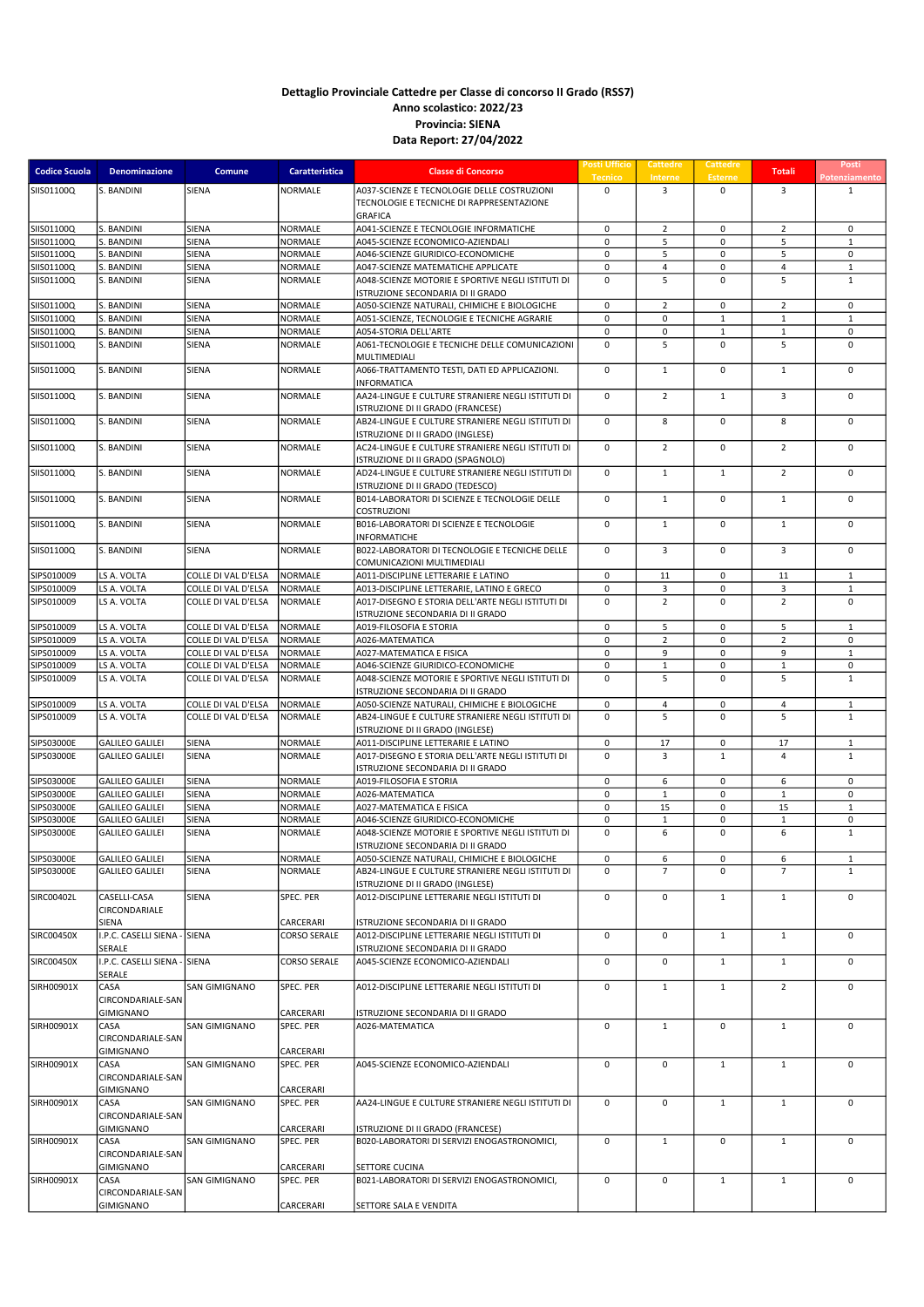| <b>Codice Scuola</b> | <b>Denominazione</b>                   | Comune              | <b>Caratteristica</b>  | <b>Classe di Concorso</b>                                                              | <b>Posti Ufficio</b><br><b>Tecnico</b> | <b>Cattedre</b><br>Interne | Cattedre<br><b>Esterne</b>  | <b>Totali</b>        | Posti<br>Potenziament        |
|----------------------|----------------------------------------|---------------------|------------------------|----------------------------------------------------------------------------------------|----------------------------------------|----------------------------|-----------------------------|----------------------|------------------------------|
| SIIS01100Q           | S. BANDINI                             | SIENA               | NORMALE                | A037-SCIENZE E TECNOLOGIE DELLE COSTRUZIONI                                            | $\mathbf 0$                            | $\overline{3}$             | $\mathbf 0$                 | 3                    | $\mathbf{1}$                 |
|                      |                                        |                     |                        | TECNOLOGIE E TECNICHE DI RAPPRESENTAZIONE                                              |                                        |                            |                             |                      |                              |
| SIIS01100Q           | S. BANDINI                             | SIENA               | NORMALE                | <b>GRAFICA</b><br>A041-SCIENZE E TECNOLOGIE INFORMATICHE                               | 0                                      | $\overline{2}$             | 0                           | $\overline{2}$       | 0                            |
| SIIS01100Q           | S. BANDINI                             | SIENA               | NORMALE                | A045-SCIENZE ECONOMICO-AZIENDALI                                                       | 0                                      | 5                          | 0                           | 5                    | $\mathbf{1}$                 |
| SIIS01100Q           | S. BANDINI                             | SIENA               | NORMALE                | A046-SCIENZE GIURIDICO-ECONOMICHE                                                      | $\mathbf 0$                            | 5                          | 0                           | 5                    | $\mathsf 0$                  |
| SIIS01100Q           | S. BANDINI                             | SIENA               | <b>NORMALE</b>         | A047-SCIENZE MATEMATICHE APPLICATE                                                     | $\mathbf 0$                            | $\overline{4}$             | $\pmb{0}$                   | 4                    | $\mathbf 1$                  |
| SIIS01100Q           | S. BANDINI                             | SIENA               | NORMALE                | A048-SCIENZE MOTORIE E SPORTIVE NEGLI ISTITUTI DI                                      | 0                                      | 5                          | 0                           | 5                    | $\mathbf{1}$                 |
| SIIS01100Q           | S. BANDINI                             | SIENA               | NORMALE                | ISTRUZIONE SECONDARIA DI II GRADO<br>A050-SCIENZE NATURALI, CHIMICHE E BIOLOGICHE      | 0                                      | $\overline{2}$             | $\pmb{0}$                   | $\overline{2}$       | $\mathsf 0$                  |
| SIIS01100Q           | S. BANDINI                             | SIENA               | NORMALE                | A051-SCIENZE, TECNOLOGIE E TECNICHE AGRARIE                                            | $\mathbf 0$                            | $\mathsf 0$                | $\mathbf{1}$                | $\mathbf{1}$         | $\mathbf{1}$                 |
| SIIS01100Q           | S. BANDINI                             | SIENA               | NORMALE                | A054-STORIA DELL'ARTE                                                                  | 0                                      | 0                          | 1                           | $\mathbf{1}$         | $\mathsf 0$                  |
| SIIS01100Q           | S. BANDINI                             | SIENA               | NORMALE                | A061-TECNOLOGIE E TECNICHE DELLE COMUNICAZIONI                                         | $\mathbf 0$                            | 5                          | $\mathbf 0$                 | 5                    | $\mathbf 0$                  |
|                      |                                        |                     |                        | MULTIMEDIALI                                                                           |                                        |                            |                             |                      |                              |
| SIIS01100Q           | S. BANDINI                             | SIENA               | NORMALE                | A066-TRATTAMENTO TESTI, DATI ED APPLICAZIONI.<br>INFORMATICA                           | $\mathbf 0$                            | $\mathbf{1}$               | $\mathbf 0$                 | $\mathbf{1}$         | $\mathbf 0$                  |
| SIIS01100Q           | S. BANDINI                             | SIENA               | NORMALE                | AA24-LINGUE E CULTURE STRANIERE NEGLI ISTITUTI DI                                      | $\mathbf 0$                            | $\overline{2}$             | $\mathbf{1}$                | $\overline{3}$       | $\mathbf 0$                  |
|                      |                                        |                     |                        | ISTRUZIONE DI II GRADO (FRANCESE)                                                      |                                        |                            |                             |                      |                              |
| SIIS01100Q           | S. BANDINI                             | SIENA               | NORMALE                | AB24-LINGUE E CULTURE STRANIERE NEGLI ISTITUTI DI                                      | $\mathbf 0$                            | 8                          | $\mathbf 0$                 | 8                    | $\mathbf 0$                  |
| SIIS01100Q           | S. BANDINI                             | SIENA               | NORMALE                | ISTRUZIONE DI II GRADO (INGLESE)<br>AC24-LINGUE E CULTURE STRANIERE NEGLI ISTITUTI DI  | $\mathbf 0$                            | $\overline{2}$             | $\mathbf 0$                 | $\overline{2}$       | $\mathbf 0$                  |
|                      |                                        |                     |                        | ISTRUZIONE DI II GRADO (SPAGNOLO)                                                      |                                        |                            |                             |                      |                              |
| SIIS01100Q           | S. BANDINI                             | SIENA               | NORMALE                | AD24-LINGUE E CULTURE STRANIERE NEGLI ISTITUTI DI                                      | 0                                      | $\mathbf{1}$               | $\mathbf{1}$                | $\overline{2}$       | $\mathbf 0$                  |
|                      |                                        |                     |                        | ISTRUZIONE DI II GRADO (TEDESCO)                                                       |                                        |                            |                             |                      |                              |
| SIIS01100Q           | S. BANDINI                             | SIENA               | <b>NORMALE</b>         | B014-LABORATORI DI SCIENZE E TECNOLOGIE DELLE                                          | 0                                      | $\mathbf{1}$               | $\mathbf 0$                 | $\mathbf{1}$         | $\mathsf 0$                  |
| SIIS01100Q           | S. BANDINI                             | SIENA               | <b>NORMALE</b>         | <b>COSTRUZIONI</b><br>B016-LABORATORI DI SCIENZE E TECNOLOGIE                          | $\mathbf 0$                            | $\mathbf 1$                | $\pmb{0}$                   | $\mathbf{1}$         | $\mathbf 0$                  |
|                      |                                        |                     |                        | <b>INFORMATICHE</b>                                                                    |                                        |                            |                             |                      |                              |
| SIIS01100Q           | S. BANDINI                             | SIENA               | NORMALE                | B022-LABORATORI DI TECNOLOGIE E TECNICHE DELLE                                         | 0                                      | 3                          | 0                           | 3                    | 0                            |
|                      |                                        |                     |                        | COMUNICAZIONI MULTIMEDIALI                                                             |                                        |                            |                             |                      |                              |
| SIPS010009           | LS A. VOLTA                            | COLLE DI VAL D'ELSA | <b>NORMALE</b>         | A011-DISCIPLINE LETTERARIE E LATINO                                                    | 0                                      | 11                         | 0                           | 11                   | $\mathbf 1$                  |
| SIPS010009           | LS A. VOLTA                            | COLLE DI VAL D'ELSA | NORMALE                | A013-DISCIPLINE LETTERARIE, LATINO E GRECO                                             | 0                                      | 3                          | $\pmb{0}$                   | 3                    | $\mathbf{1}$                 |
| SIPS010009           | LS A. VOLTA                            | COLLE DI VAL D'ELSA | NORMALE                | A017-DISEGNO E STORIA DELL'ARTE NEGLI ISTITUTI DI<br>ISTRUZIONE SECONDARIA DI II GRADO | $\mathbf 0$                            | $\overline{2}$             | 0                           | $\overline{2}$       | $\mathbf 0$                  |
| SIPS010009           | LS A. VOLTA                            | COLLE DI VAL D'ELSA | NORMALE                | A019-FILOSOFIA E STORIA                                                                | $\mathbf 0$                            | 5                          | 0                           | 5                    | $\mathbf{1}$                 |
| SIPS010009           | LS A. VOLTA                            | COLLE DI VAL D'ELSA | NORMALE                | A026-MATEMATICA                                                                        | $\mathbf 0$                            | $\overline{2}$             | $\mathbf 0$                 | $\overline{2}$       | $\mathbf 0$                  |
| SIPS010009           | LS A. VOLTA                            | COLLE DI VAL D'ELSA | NORMALE                | A027-MATEMATICA E FISICA                                                               | 0                                      | 9                          | 0                           | 9                    | $\mathbf{1}$                 |
| SIPS010009           | LS A. VOLTA                            | COLLE DI VAL D'ELSA | NORMALE                | A046-SCIENZE GIURIDICO-ECONOMICHE                                                      | $\mathbf 0$                            | $\mathbf{1}$               | 0                           | $\mathbf{1}$         | $\mathsf 0$                  |
| SIPS010009           | LS A. VOLTA                            | COLLE DI VAL D'ELSA | NORMALE                | A048-SCIENZE MOTORIE E SPORTIVE NEGLI ISTITUTI DI                                      | $\mathbf 0$                            | 5                          | 0                           | 5                    | $\mathbf{1}$                 |
|                      |                                        |                     |                        | ISTRUZIONE SECONDARIA DI II GRADO                                                      |                                        |                            |                             |                      |                              |
| SIPS010009           | LS A. VOLTA                            | COLLE DI VAL D'ELSA | NORMALE                | A050-SCIENZE NATURALI, CHIMICHE E BIOLOGICHE                                           | $\mathbf 0$                            | $\overline{4}$             | $\mathbf 0$                 | $\overline{4}$       | $\mathbf{1}$                 |
| SIPS010009           | LS A. VOLTA                            | COLLE DI VAL D'ELSA | NORMALE                | AB24-LINGUE E CULTURE STRANIERE NEGLI ISTITUTI DI                                      | $\mathbf 0$                            | 5                          | $\mathbf 0$                 | 5                    | $\mathbf 1$                  |
|                      |                                        |                     |                        | ISTRUZIONE DI II GRADO (INGLESE)                                                       |                                        |                            |                             |                      |                              |
| SIPS03000E           | <b>GALILEO GALILEI</b>                 | SIENA               | NORMALE                | A011-DISCIPLINE LETTERARIE E LATINO                                                    | $\mathbf 0$                            | 17                         | $\mathbf 0$<br>$\mathbf{1}$ | 17<br>$\overline{a}$ | $\mathbf{1}$<br>$\mathbf{1}$ |
| SIPS03000E           | <b>GALILEO GALILEI</b>                 | SIENA               | <b>NORMALE</b>         | A017-DISEGNO E STORIA DELL'ARTE NEGLI ISTITUTI DI<br>ISTRUZIONE SECONDARIA DI II GRADO | $\mathbf 0$                            | 3                          |                             |                      |                              |
| SIPS03000E           | <b>GALILEO GALILEI</b>                 | SIENA               | NORMALE                | A019-FILOSOFIA E STORIA                                                                | $\mathbf 0$                            | 6                          | 0                           | 6                    | $\mathbf 0$                  |
| SIPS03000E           | <b>GALILEO GALILEI</b>                 | SIENA               | NORMALE                | A026-MATEMATICA                                                                        | $\mathbf 0$                            | $\mathbf 1$                | 0                           | $\,1\,$              | $\mathbf 0$                  |
| SIPS03000E           | <b>GALILEO GALILEI</b>                 | SIENA               | NORMALE                | A027-MATEMATICA E FISICA                                                               | 0                                      | 15                         | 0                           | 15                   | $\mathbf 1$                  |
| SIPS03000E           | <b>GALILEO GALILEI</b>                 | SIENA               | NORMALE                | A046-SCIENZE GIURIDICO-ECONOMICHE                                                      | 0                                      | 1                          | 0                           | 1                    | 0                            |
| SIPS03000E           | <b>GALILEO GALILEI</b>                 | SIENA               | NORMALE                | A048-SCIENZE MOTORIE E SPORTIVE NEGLI ISTITUTI DI                                      | $\mathbf 0$                            | 6                          | 0                           | 6                    | $\mathbf{1}$                 |
|                      |                                        |                     |                        | ISTRUZIONE SECONDARIA DI II GRADO                                                      |                                        |                            |                             |                      |                              |
| SIPS03000E           | <b>GALILEO GALILEI</b>                 | SIENA               | NORMALE                | A050-SCIENZE NATURALI, CHIMICHE E BIOLOGICHE                                           | 0                                      | 6                          | 0                           | 6                    | $\mathbf 1$                  |
| SIPS03000E           | <b>GALILEO GALILEI</b>                 | SIENA               | NORMALE                | AB24-LINGUE E CULTURE STRANIERE NEGLI ISTITUTI DI                                      | $\mathbf 0$                            | $\overline{7}$             | 0                           | $\overline{7}$       | $\mathbf{1}$                 |
| SIRC00402L           | CASELLI-CASA                           | SIENA               | SPEC. PER              | ISTRUZIONE DI II GRADO (INGLESE)<br>A012-DISCIPLINE LETTERARIE NEGLI ISTITUTI DI       | $\mathbf 0$                            | $\mathsf 0$                | $\mathbf{1}$                | $\mathbf{1}$         | $\pmb{0}$                    |
|                      | CIRCONDARIALE                          |                     |                        |                                                                                        |                                        |                            |                             |                      |                              |
|                      | SIENA                                  |                     | CARCERARI              | ISTRUZIONE SECONDARIA DI II GRADO                                                      |                                        |                            |                             |                      |                              |
| SIRC00450X           | I.P.C. CASELLI SIENA - SIENA           |                     | <b>CORSO SERALE</b>    | A012-DISCIPLINE LETTERARIE NEGLI ISTITUTI DI                                           | $\mathsf 0$                            | $\mathsf 0$                | $\mathbf{1}$                | $\mathbf{1}$         | $\mathbf 0$                  |
| SIRC00450X           | SERALE<br>I.P.C. CASELLI SIENA - SIENA |                     |                        | ISTRUZIONE SECONDARIA DI II GRADO<br>A045-SCIENZE ECONOMICO-AZIENDALI                  |                                        |                            |                             |                      |                              |
|                      | SERALE                                 |                     | <b>CORSO SERALE</b>    |                                                                                        | $\mathbf 0$                            | $\mathsf 0$                | $\mathbf{1}$                | $\mathbf{1}$         | $\mathbf 0$                  |
| SIRH00901X           | CASA                                   | SAN GIMIGNANO       | SPEC. PER              | A012-DISCIPLINE LETTERARIE NEGLI ISTITUTI DI                                           | $\mathsf 0$                            | $\mathbf{1}$               | 1                           | $\overline{2}$       | $\mathbf 0$                  |
|                      | CIRCONDARIALE-SAN                      |                     |                        |                                                                                        |                                        |                            |                             |                      |                              |
|                      | GIMIGNANO                              |                     | CARCERARI              | ISTRUZIONE SECONDARIA DI II GRADO                                                      |                                        |                            |                             |                      |                              |
| SIRH00901X           | CASA                                   | SAN GIMIGNANO       | SPEC. PER              | A026-MATEMATICA                                                                        | $\mathbf 0$                            | $\mathbf{1}$               | 0                           | $\mathbf{1}$         | $\mathsf 0$                  |
|                      | CIRCONDARIALE-SAN                      |                     |                        |                                                                                        |                                        |                            |                             |                      |                              |
| SIRH00901X           | GIMIGNANO<br>CASA                      | SAN GIMIGNANO       | CARCERARI<br>SPEC. PER | A045-SCIENZE ECONOMICO-AZIENDALI                                                       | $\mathbf 0$                            | $\mathsf 0$                | $\mathbf{1}$                | $\mathbf{1}$         | $\mathsf 0$                  |
|                      | CIRCONDARIALE-SAN                      |                     |                        |                                                                                        |                                        |                            |                             |                      |                              |
|                      | GIMIGNANO                              |                     | CARCERARI              |                                                                                        |                                        |                            |                             |                      |                              |
| SIRH00901X           | CASA                                   | SAN GIMIGNANO       | SPEC. PER              | AA24-LINGUE E CULTURE STRANIERE NEGLI ISTITUTI DI                                      | 0                                      | $\mathsf 0$                | $\mathbf{1}$                | $\mathbf{1}$         | 0                            |
|                      | CIRCONDARIALE-SAN                      |                     |                        |                                                                                        |                                        |                            |                             |                      |                              |
|                      | GIMIGNANO                              |                     | CARCERARI              | ISTRUZIONE DI II GRADO (FRANCESE)                                                      |                                        |                            |                             |                      |                              |
| SIRH00901X           | CASA                                   | SAN GIMIGNANO       | SPEC. PER              | B020-LABORATORI DI SERVIZI ENOGASTRONOMICI,                                            | 0                                      | $\mathbf{1}$               | 0                           | $\mathbf{1}$         | 0                            |
|                      | CIRCONDARIALE-SAN<br><b>GIMIGNANO</b>  |                     | CARCERARI              | SETTORE CUCINA                                                                         |                                        |                            |                             |                      |                              |
| SIRH00901X           | CASA                                   | SAN GIMIGNANO       | SPEC. PER              | B021-LABORATORI DI SERVIZI ENOGASTRONOMICI,                                            | $\mathbf 0$                            | $\mathsf 0$                | $\mathbf{1}$                | $\mathbf{1}$         | $\mathbf 0$                  |
|                      | CIRCONDARIALE-SAN                      |                     |                        |                                                                                        |                                        |                            |                             |                      |                              |
|                      | GIMIGNANO                              |                     | CARCERARI              | SETTORE SALA E VENDITA                                                                 |                                        |                            |                             |                      |                              |
|                      |                                        |                     |                        |                                                                                        |                                        |                            |                             |                      |                              |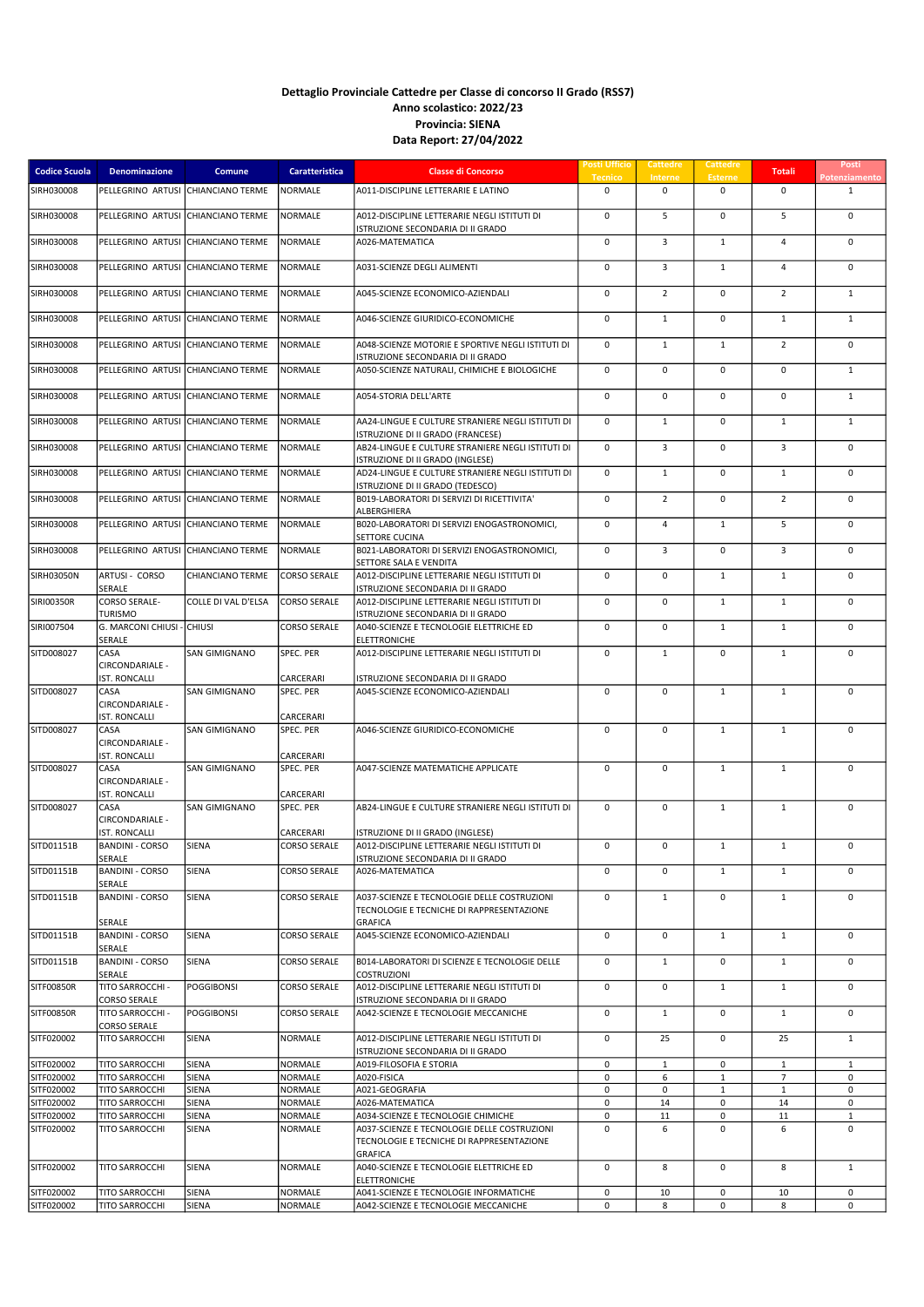| <b>Codice Scuola</b>     | Denominazione                              | <b>Comune</b>           | Caratteristica         | <b>Classe di Concorso</b>                                                                | <b>Posti Ufficio</b><br><b>Tecnico</b> | Cattedre<br>Interne | Cattedre<br><b>Esterne</b> | <b>Totali</b>  | Posti<br>Potenziament       |
|--------------------------|--------------------------------------------|-------------------------|------------------------|------------------------------------------------------------------------------------------|----------------------------------------|---------------------|----------------------------|----------------|-----------------------------|
| SIRH030008               | PELLEGRINO ARTUSI                          | CHIANCIANO TERME        | NORMALE                | A011-DISCIPLINE LETTERARIE E LATINO                                                      | $\mathbf 0$                            | $\mathbf 0$         | $\mathbf 0$                | $\mathbf 0$    | $\mathbf{1}$                |
| SIRH030008               | PELLEGRINO ARTUSI                          | <b>CHIANCIANO TERME</b> | <b>NORMALE</b>         | A012-DISCIPLINE LETTERARIE NEGLI ISTITUTI DI                                             | 0                                      | 5                   | $\pmb{0}$                  | 5              | $\mathsf 0$                 |
| SIRH030008               | PELLEGRINO ARTUSI                          | <b>CHIANCIANO TERME</b> | NORMALE                | ISTRUZIONE SECONDARIA DI II GRADO<br>A026-MATEMATICA                                     | $\mathbf 0$                            | $\overline{3}$      | $\mathbf{1}$               | $\overline{4}$ | $\mathbf 0$                 |
| SIRH030008               | PELLEGRINO ARTUSI                          | <b>CHIANCIANO TERME</b> | NORMALE                | A031-SCIENZE DEGLI ALIMENTI                                                              | $\mathbf 0$                            | $\overline{3}$      | $\mathbf{1}$               | $\overline{4}$ | $\mathbf 0$                 |
| SIRH030008               | PELLEGRINO ARTUSI                          | <b>CHIANCIANO TERME</b> | NORMALE                | A045-SCIENZE ECONOMICO-AZIENDALI                                                         | $\mathbf 0$                            | $\overline{2}$      | $\mathbf 0$                | $\overline{2}$ | $\mathbf{1}$                |
| SIRH030008               | PELLEGRINO ARTUSI                          | <b>CHIANCIANO TERME</b> | NORMALE                | A046-SCIENZE GIURIDICO-ECONOMICHE                                                        | $\mathbf 0$                            | $\mathbf{1}$        | $\pmb{0}$                  | $\mathbf{1}$   | $\mathbf{1}$                |
| SIRH030008               | PELLEGRINO ARTUSI                          | CHIANCIANO TERME        | NORMALE                | A048-SCIENZE MOTORIE E SPORTIVE NEGLI ISTITUTI DI<br>ISTRUZIONE SECONDARIA DI II GRADO   | 0                                      | $\mathbf{1}$        | $\mathbf{1}$               | $\overline{2}$ | $\mathbf 0$                 |
| SIRH030008               | PELLEGRINO ARTUSI                          | CHIANCIANO TERME        | <b>NORMALE</b>         | A050-SCIENZE NATURALI. CHIMICHE E BIOLOGICHE                                             | 0                                      | $\mathbf 0$         | $\pmb{0}$                  | 0              | $\mathbf{1}$                |
| SIRH030008               | PELLEGRINO ARTUSI                          | CHIANCIANO TERME        | NORMALE                | A054-STORIA DELL'ARTE                                                                    | 0                                      | $\mathbf 0$         | 0                          | 0              | $\mathbf{1}$                |
| SIRH030008               | PELLEGRINO ARTUSI                          | CHIANCIANO TERME        | <b>NORMALE</b>         | AA24-LINGUE E CULTURE STRANIERE NEGLI ISTITUTI DI<br>ISTRUZIONE DI II GRADO (FRANCESE)   | 0                                      | $\mathbf{1}$        | $\pmb{0}$                  | $\mathbf{1}$   | $\mathbf{1}$                |
| SIRH030008               | PELLEGRINO ARTUSI                          | CHIANCIANO TERME        | NORMALE                | AB24-LINGUE E CULTURE STRANIERE NEGLI ISTITUTI DI<br>ISTRUZIONE DI II GRADO (INGLESE)    | 0                                      | 3                   | 0                          | 3              | $\mathbf 0$                 |
| SIRH030008               | PELLEGRINO ARTUSI                          | <b>CHIANCIANO TERME</b> | <b>NORMALE</b>         | AD24-LINGUE E CULTURE STRANIERE NEGLI ISTITUTI DI                                        | $\mathbf 0$                            | $\mathbf{1}$        | $\mathbf 0$                | $\mathbf{1}$   | $\mathbf 0$                 |
| <b>SIRH030008</b>        | PELLEGRINO ARTUSI                          | CHIANCIANO TERME        | NORMALE                | ISTRUZIONE DI II GRADO (TEDESCO)<br>B019-LABORATORI DI SERVIZI DI RICETTIVITA'           | $\mathbf 0$                            | $\overline{2}$      | $\mathbf 0$                | $\overline{2}$ | $\mathbf 0$                 |
| SIRH030008               | PELLEGRINO ARTUSI                          | <b>CHIANCIANO TERME</b> | <b>NORMALE</b>         | ALBERGHIERA<br>B020-LABORATORI DI SERVIZI ENOGASTRONOMICI,                               | $\mathbf 0$                            | $\overline{4}$      | $\mathbf{1}$               | 5              | $\mathbf 0$                 |
| SIRH030008               | PELLEGRINO ARTUSI                          | <b>CHIANCIANO TERME</b> | <b>NORMALE</b>         | SETTORE CUCINA<br>B021-LABORATORI DI SERVIZI ENOGASTRONOMICI.                            | $\mathbf 0$                            | 3                   | $\mathbf 0$                | 3              | $\mathbf 0$                 |
| <b>SIRH03050N</b>        | ARTUSI - CORSO                             | CHIANCIANO TERME        | <b>CORSO SERALE</b>    | SETTORE SALA E VENDITA<br>A012-DISCIPLINE LETTERARIE NEGLI ISTITUTI DI                   | $\mathbf 0$                            | $\mathbf 0$         | $\mathbf{1}$               | $\mathbf{1}$   | $\mathbf 0$                 |
| SIRI00350R               | SERALE<br><b>CORSO SERALE-</b>             | COLLE DI VAL D'ELSA     | <b>CORSO SERALE</b>    | ISTRUZIONE SECONDARIA DI II GRADO<br>A012-DISCIPLINE LETTERARIE NEGLI ISTITUTI DI        | $\mathbf 0$                            | $\mathbf 0$         | $\mathbf{1}$               | $\mathbf{1}$   | $\mathbf 0$                 |
| SIRI007504               | TURISMO<br>G. MARCONI CHIUSI               | <b>CHIUSI</b>           | <b>CORSO SERALE</b>    | ISTRUZIONE SECONDARIA DI II GRADO<br>A040-SCIENZE E TECNOLOGIE ELETTRICHE ED             | $\mathbf 0$                            | $\mathbf 0$         | $\mathbf{1}$               | $\mathbf{1}$   | $\mathbf 0$                 |
| SITD008027               | SERALE<br>CASA                             | <b>SAN GIMIGNANO</b>    | SPEC. PER              | <b>ELETTRONICHE</b><br>A012-DISCIPLINE LETTERARIE NEGLI ISTITUTI DI                      | $\mathbf 0$                            | $\mathbf{1}$        | $\mathbf 0$                | $\mathbf{1}$   | $\mathbf 0$                 |
|                          | CIRCONDARIALE -<br><b>IST. RONCALLI</b>    |                         | CARCERARI              | ISTRUZIONE SECONDARIA DI II GRADO                                                        |                                        |                     |                            |                |                             |
| SITD008027               | CASA<br>CIRCONDARIALE -                    | SAN GIMIGNANO           | SPEC. PER              | A045-SCIENZE ECONOMICO-AZIENDALI                                                         | $\mathbf 0$                            | $\mathbf 0$         | $\mathbf 1$                | $\mathbf{1}$   | $\mathbf 0$                 |
| SITD008027               | <b>IST. RONCALLI</b><br>CASA               | SAN GIMIGNANO           | CARCERARI<br>SPEC. PER | A046-SCIENZE GIURIDICO-ECONOMICHE                                                        | $\mathbf 0$                            | $\mathbf 0$         | $\mathbf{1}$               | $\mathbf{1}$   | $\mathbf 0$                 |
|                          | CIRCONDARIALE -                            |                         |                        |                                                                                          |                                        |                     |                            |                |                             |
| SITD008027               | <b>IST. RONCALLI</b><br>CASA               | SAN GIMIGNANO           | CARCERARI<br>SPEC. PER | A047-SCIENZE MATEMATICHE APPLICATE                                                       | $\mathbf 0$                            | $\mathbf 0$         | $\mathbf{1}$               | $\mathbf{1}$   | $\mathbf 0$                 |
|                          | CIRCONDARIALE -<br><b>IST. RONCALLI</b>    |                         | CARCERARI              |                                                                                          |                                        |                     |                            |                |                             |
| SITD008027               | CASA<br>CIRCONDARIALE -                    | SAN GIMIGNANO           | SPEC. PER              | AB24-LINGUE E CULTURE STRANIERE NEGLI ISTITUTI DI                                        | $\mathbf 0$                            | $\mathbf 0$         | $\mathbf{1}$               | $\mathbf{1}$   | $\mathbf 0$                 |
|                          | <b>IST. RONCALLI</b>                       |                         | CARCERARI              | ISTRUZIONE DI II GRADO (INGLESE)                                                         |                                        |                     |                            |                |                             |
| SITD01151B               | <b>BANDINI - CORSO</b><br>SERALE           | <b>SIENA</b>            | <b>CORSO SERALE</b>    | A012-DISCIPLINE LETTERARIE NEGLI ISTITUTI DI<br>ISTRUZIONE SECONDARIA DI II GRADO        | $\mathbf 0$                            | $\mathbf 0$         | $\mathbf{1}$               | $\mathbf{1}$   | $\mathbf 0$                 |
| SITD01151B               | <b>BANDINI - CORSO</b><br>SERALE           | SIENA                   | <b>CORSO SERALE</b>    | A026-MATEMATICA                                                                          | $\mathbf 0$                            | 0                   | $\mathbf{1}$               | $\mathbf{1}$   | 0                           |
| SITD01151B               | <b>BANDINI - CORSO</b>                     | SIENA                   | <b>CORSO SERALE</b>    | A037-SCIENZE E TECNOLOGIE DELLE COSTRUZIONI<br>TECNOLOGIE E TECNICHE DI RAPPRESENTAZIONE | $\mathbf 0$                            | $\mathbf{1}$        | $\mathbf 0$                | $\mathbf{1}$   | $\mathbf 0$                 |
| SITD01151B               | SERALE<br><b>BANDINI - CORSO</b>           | SIENA                   | <b>CORSO SERALE</b>    | <b>GRAFICA</b><br>A045-SCIENZE ECONOMICO-AZIENDALI                                       | 0                                      | $\mathsf 0$         | $\mathbf{1}$               | $\mathbf{1}$   | $\mathbf 0$                 |
| SITD01151B               | SERALE<br><b>BANDINI - CORSO</b><br>SERALE | SIENA                   | <b>CORSO SERALE</b>    | B014-LABORATORI DI SCIENZE E TECNOLOGIE DELLE<br>COSTRUZIONI                             | 0                                      | $\mathbf 1$         | $\pmb{0}$                  | $\mathbf{1}$   | $\mathbf 0$                 |
| <b>SITF00850R</b>        | TITO SARROCCHI -<br><b>CORSO SERALE</b>    | <b>POGGIBONSI</b>       | <b>CORSO SERALE</b>    | A012-DISCIPLINE LETTERARIE NEGLI ISTITUTI DI<br>ISTRUZIONE SECONDARIA DI II GRADO        | 0                                      | 0                   | $\mathbf{1}$               | $\mathbf{1}$   | 0                           |
| SITF00850R               | TITO SARROCCHI -                           | <b>POGGIBONSI</b>       | <b>CORSO SERALE</b>    | A042-SCIENZE E TECNOLOGIE MECCANICHE                                                     | 0                                      | $\mathbf{1}$        | $\pmb{0}$                  | $\mathbf{1}$   | $\mathbf 0$                 |
| SITF020002               | <b>CORSO SERALE</b><br>TITO SARROCCHI      | SIENA                   | <b>NORMALE</b>         | A012-DISCIPLINE LETTERARIE NEGLI ISTITUTI DI                                             | 0                                      | 25                  | 0                          | 25             | $\mathbf{1}$                |
| SITF020002               | TITO SARROCCHI                             | SIENA                   | <b>NORMALE</b>         | ISTRUZIONE SECONDARIA DI II GRADO<br>A019-FILOSOFIA E STORIA                             | 0                                      | $\mathbf{1}$        | 0                          | $\mathbf{1}$   | $\mathbf{1}$                |
| SITF020002               | TITO SARROCCHI                             | SIENA                   | <b>NORMALE</b>         | A020-FISICA                                                                              | $\mathbf 0$                            | 6                   | $\mathbf{1}$               | $\overline{7}$ | $\mathbf 0$                 |
| SITF020002               | TITO SARROCCHI                             | SIENA                   | NORMALE                | A021-GEOGRAFIA                                                                           | 0                                      | 0                   | 1                          | 1              | $\mathbf 0$                 |
| SITF020002               | TITO SARROCCHI                             | <b>SIENA</b>            | NORMALE                | A026-MATEMATICA                                                                          | 0                                      | 14                  | 0                          | 14             | 0                           |
| SITF020002<br>SITF020002 | TITO SARROCCHI<br>TITO SARROCCHI           | SIENA<br>SIENA          | NORMALE<br>NORMALE     | A034-SCIENZE E TECNOLOGIE CHIMICHE<br>A037-SCIENZE E TECNOLOGIE DELLE COSTRUZIONI        | 0<br>$\mathbf 0$                       | 11<br>6             | 0<br>$\mathbf 0$           | 11<br>6        | $\mathbf{1}$<br>$\mathbf 0$ |
|                          |                                            |                         |                        | TECNOLOGIE E TECNICHE DI RAPPRESENTAZIONE<br><b>GRAFICA</b>                              |                                        |                     |                            |                |                             |
| SITF020002               | TITO SARROCCHI                             | SIENA                   | <b>NORMALE</b>         | A040-SCIENZE E TECNOLOGIE ELETTRICHE ED<br><b>ELETTRONICHE</b>                           | $\mathbf 0$                            | 8                   | $\mathbf 0$                | 8              | $\mathbf{1}$                |
| SITF020002               | TITO SARROCCHI                             | SIENA                   | <b>NORMALE</b>         | A041-SCIENZE E TECNOLOGIE INFORMATICHE                                                   | 0                                      | 10                  | 0                          | 10             | 0                           |
| SITF020002               | <b>TITO SARROCCHI</b>                      | SIENA                   | NORMALE                | A042-SCIENZE E TECNOLOGIE MECCANICHE                                                     | 0                                      | 8                   | 0                          | 8              | 0                           |